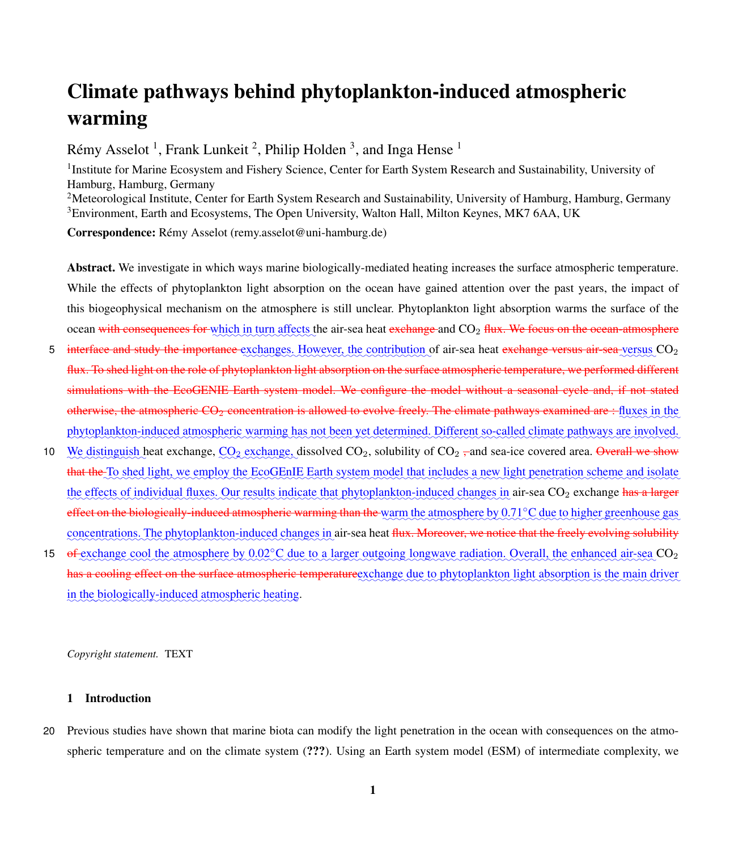# <span id="page-0-0"></span>Climate pathways behind phytoplankton-induced atmospheric warming

Rémy Asselot<sup>1</sup>, Frank Lunkeit<sup>2</sup>, Philip Holden<sup>3</sup>, and Inga Hense<sup>1</sup>

<sup>1</sup>Institute for Marine Ecosystem and Fishery Science, Center for Earth System Research and Sustainability, University of Hamburg, Hamburg, Germany <sup>2</sup>Meteorological Institute, Center for Earth System Research and Sustainability, University of Hamburg, Hamburg, Germany <sup>3</sup>Environment, Earth and Ecosystems, The Open University, Walton Hall, Milton Keynes, MK7 6AA, UK

Correspondence: Rémy Asselot (remy.asselot@uni-hamburg.de)

Abstract. We investigate in which ways marine biologically-mediated heating increases the surface atmospheric temperature. While the effects of phytoplankton light absorption on the ocean have gained attention over the past years, the impact of this biogeophysical mechanism on the atmosphere is still unclear. Phytoplankton light absorption warms the surface of the ocean with consequences for which in turn affects the air-sea heat exchange and  $CO_2$  flux. We focus on the ocean-atmosphere

- 5 interface and study the importance exchanges. However, the contribution of air-sea heat exchange versus air-sea versus CO<sub>2</sub> flux. To shed light on the role of phytoplankton light absorption on the surface atmospheric temperature, we performed different simulations with the EcoGENIE Earth system model. We configure the model without a seasonal cycle and, if not stated otherwise, the atmospheric CO<sub>2</sub> concentration is allowed to evolve freely. The climate pathways examined are : fluxes in the phytoplankton-induced atmospheric warming has not been yet determined. Different so-called climate pathways are involved.
- 10 We distinguish heat exchange,  $\text{CO}_2$  exchange, dissolved  $\text{CO}_2$ , solubility of  $\text{CO}_2$ , and sea-ice covered area. Overall we show that the To shed light, we employ the EcoGEnIE Earth system model that includes a new light penetration scheme and isolate the effects of individual fluxes. Our results indicate that phytoplankton-induced changes in air-sea CO<sub>2</sub> exchange has a larger effect on the biologically-induced atmospheric warming than the warm the atmosphere by 0.71℃ due to higher greenhouse gas concentrations. The phytoplankton-induced changes in air-sea heat <del>flux. Moreover, we notice that the freely evolving solubility</del>
- 15 of exchange cool the atmosphere by 0.02°C due to a larger outgoing longwave radiation. Overall, the enhanced air-sea CO<sub>2</sub> has a cooling effect on the surface atmospheric temperaturegxchange due to phytoplankton light absorption is the main driver in the biologically-induced atmospheric heating.

*Copyright statement.* TEXT

# 1 Introduction

20 Previous studies have shown that marine biota can modify the light penetration in the ocean with consequences on the atmospheric temperature and on the climate system (???). Using an Earth system model (ESM) of intermediate complexity, we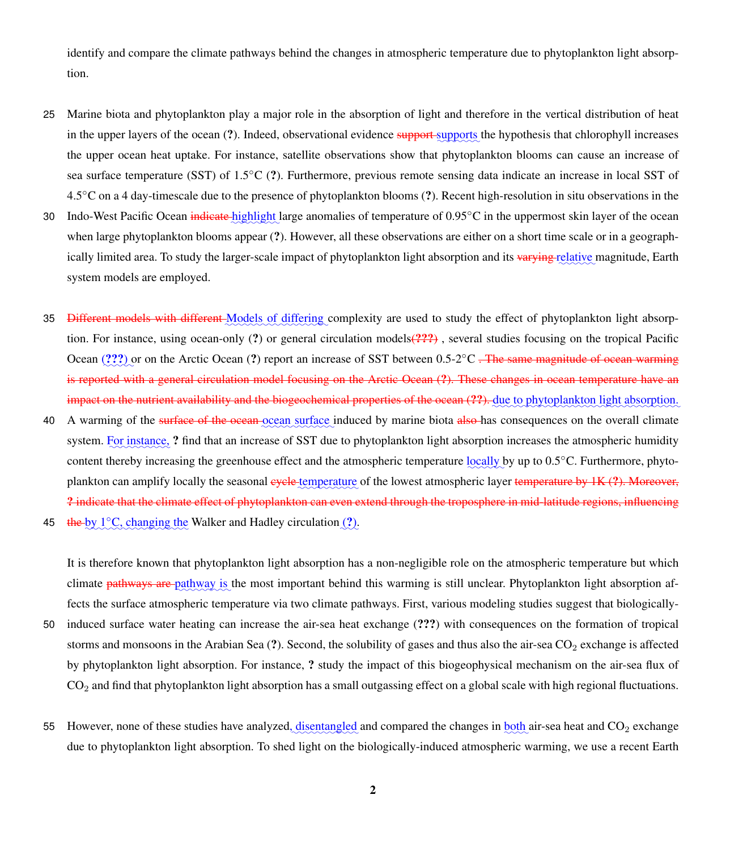identify and compare the climate pathways behind the changes in atmospheric temperature due to phytoplankton light absorption.

- 25 Marine biota and phytoplankton play a major role in the absorption of light and therefore in the vertical distribution of heat in the upper layers of the ocean (?). Indeed, observational evidence support supports the hypothesis that chlorophyll increases the upper ocean heat uptake. For instance, satellite observations show that phytoplankton blooms can cause an increase of sea surface temperature (SST) of 1.5◦C (?). Furthermore, previous remote sensing data indicate an increase in local SST of 4.5◦C on a 4 day-timescale due to the presence of phytoplankton blooms (?). Recent high-resolution in situ observations in the
- 30 Indo-West Pacific Ocean indicate highlight large anomalies of temperature of 0.95°C in the uppermost skin layer of the ocean when large phytoplankton blooms appear (?). However, all these observations are either on a short time scale or in a geographically limited area. To study the larger-scale impact of phytoplankton light absorption and its <del>varying relative</del> magnitude, Earth system models are employed.
- 35 <del>Different models with different Models of differing</del> complexity are used to study the effect of phytoplankton light absorption. For instance, using ocean-only (?) or general circulation models(???) , several studies focusing on the tropical Pacific Ocean (???) or on the Arctic Ocean (?) report an increase of SST between 0.5-2<sup>°</sup>C <del>. The same magnitude of ocean warming</del> is reported with a general circulation model focusing on the Arctic Ocean (?). These changes in ocean temperature have an impact on the nutrient availability and the biogeochemical properties of the ocean (??). due to phytoplankton light absorption.
- 40 A warming of the surface of the ocean ocean surface induced by marine biota also has consequences on the overall climate system. For instance, ? find that an increase of SST due to phytoplankton light absorption increases the atmospheric humidity content thereby increasing the greenhouse effect and the atmospheric temperature locally by up to 0.5°C. Furthermore, phytoplankton can amplify locally the seasonal <del>cycle temperature</del> of the lowest atmospheric layer <del>temperature by 1K (?). Moreover,</del> ? indicate that the climate effect of phytoplankton can even extend through the troposphere in mid-latitude regions, influencing
- 45 the by 1°C, changing the Walker and Hadley circulation (?).

It is therefore known that phytoplankton light absorption has a non-negligible role on the atmospheric temperature but which climate *pathways* are pathway is the most important behind this warming is still unclear. Phytoplankton light absorption affects the surface atmospheric temperature via two climate pathways. First, various modeling studies suggest that biologically-

- 50 induced surface water heating can increase the air-sea heat exchange (???) with consequences on the formation of tropical storms and monsoons in the Arabian Sea  $(?)$ . Second, the solubility of gases and thus also the air-sea  $CO<sub>2</sub>$  exchange is affected by phytoplankton light absorption. For instance, ? study the impact of this biogeophysical mechanism on the air-sea flux of CO<sup>2</sup> and find that phytoplankton light absorption has a small outgassing effect on a global scale with high regional fluctuations.
- 55 However, none of these studies have analyzed, disentangled and compared the changes in both air-sea heat and CO<sub>2</sub> exchange due to phytoplankton light absorption. To shed light on the biologically-induced atmospheric warming, we use a recent Earth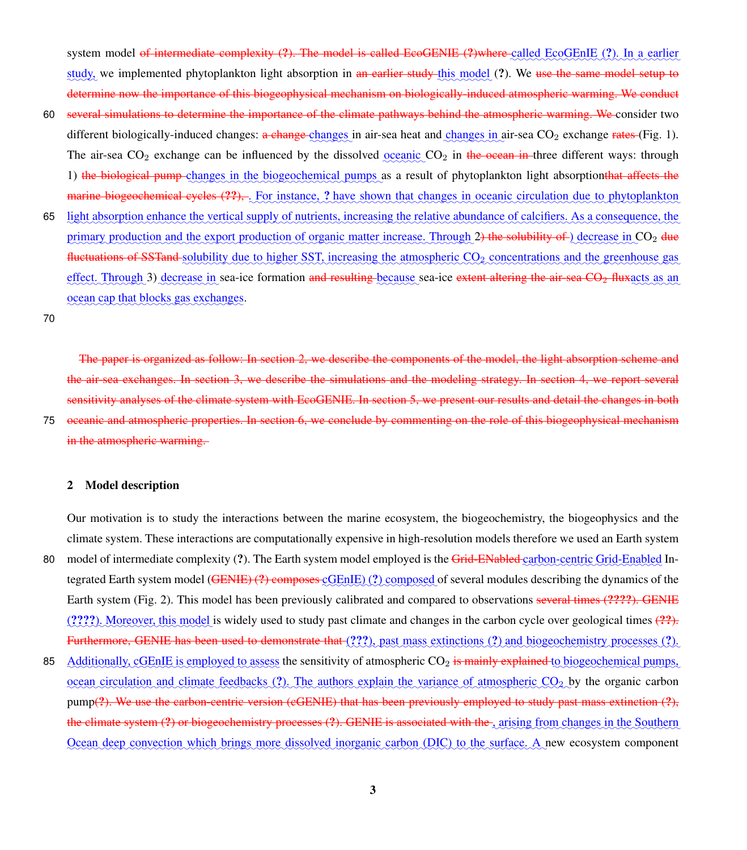system model <del>of intermediate complexity (?). The model is called EcoGENIE (?)where called EcoGEnIE (?). In a earlier</del> study, we implemented phytoplankton light absorption in <del>an earlier study this model</del> (?). We <del>use the same model setup to</del> determine now the importance of this biogeophysical mechanism on biologically-induced atmospheric warming. We conduct

- 60 several simulations to determine the importance of the climate pathways behind the atmospheric warming. We consider two different biologically-induced changes: <del>a change changes</del> in air-sea heat and changes in air-sea CO<sub>2</sub> exchange rates (Fig. [1\)](#page-20-0). The air-sea  $CO_2$  exchange can be influenced by the dissolved  $\frac{1}{2}$  oceanic  $CO_2$  in the ocean in three different ways: through 1) the biological pump changes in the biogeochemical pumps as a result of phytoplankton light absorptionthat affects the marine biogeochemical cycles (??), . For instance, ? have shown that changes in oceanic circulation due to phytoplankton
- 65 light absorption enhance the vertical supply of nutrients, increasing the relative abundance of calcifiers. As a consequence, the primary production and the export production of organic matter increase. Through 2) the solubility of ) decrease in CO<sub>2</sub> due fluctuations of SSTand solubility due to higher SST, increasing the atmospheric CO<sub>2</sub> concentrations and the greenhouse gas effect. Through 3) decrease in sea-ice formation and resulting because sea-ice extent altering the air-sea CO<sub>2</sub> fluxacts as an ocean cap that blocks gas exchanges.

70

The paper is organized as follow: In section 2, we describe the components of the model, the light absorption scheme and the air-sea exchanges. In section 3, we describe the simulations and the modeling strategy. In section 4, we report several sensitivity analyses of the climate system with EcoGENIE. In section 5, we present our results and detail the changes in both 75 oceanic and atmospheric properties. In section 6, we conclude by commenting on the role of this biogeophysical mechanism in the atmospheric warming.

## 2 Model description

Our motivation is to study the interactions between the marine ecosystem, the biogeochemistry, the biogeophysics and the climate system. These interactions are computationally expensive in high-resolution models therefore we used an Earth system

- 80 model of intermediate complexity (?). The Earth system model employed is the Grid-ENabled carbon-centric Grid-Enabled Integrated Earth system model (<del>GENIE) (?) composes cOEnIE</del>) (?) composed of several modules describing the dynamics of the Earth system (Fig. [2\)](#page-21-0). This model has been previously calibrated and compared to observations several times (????). GENIE (????). Moreover, this model is widely used to study past climate and changes in the carbon cycle over geological times (??). Furthermore, GENIE has been used to demonstrate that (???), past mass extinctions (?) and biogeochemistry processes (?).
- 85 Additionally, cGEnIE is employed to assess the sensitivity of atmospheric CO<sub>2</sub> is mainly explained to biogeochemical pumps, ocean circulation and climate feedbacks (?). The authors explain the variance of atmospheric CO<sub>2</sub> by the organic carbon pump(?). We use the carbon-centric version (cGENIE) that has been previously employed to study past mass extinction (?), the climate system (?) or biogeochemistry processes (?). GENIE is associated with the arising from changes in the Southern Ocean deep convection which brings more dissolved inorganic carbon (DIC) to the surface. A new ecosystem component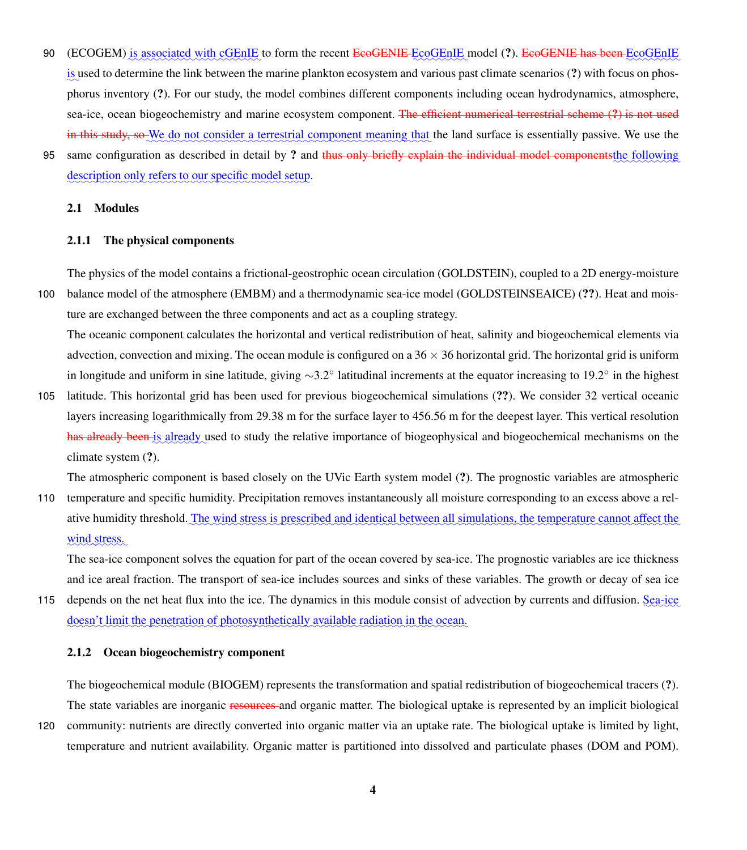- 90 (ECOGEM) is associated with cGEnIE to form the recent EcoGENIE EcoGEnIE model (?). EcoGENIE has been EcoGEnIE is used to determine the link between the marine plankton ecosystem and various past climate scenarios (?) with focus on phosphorus inventory (?). For our study, the model combines different components including ocean hydrodynamics, atmosphere, sea-ice, ocean biogeochemistry and marine ecosystem component. The efficient numerical terrestrial scheme (?) is not used in this study, so We do not consider a terrestrial component meaning that the land surface is essentially passive. We use the
- 95 same configuration as described in detail by ? and thus only briefly explain the individual model componentsthe following description only refers to our specific model setup.

# 2.1 Modules

# 2.1.1 The physical components

The physics of the model contains a frictional-geostrophic ocean circulation (GOLDSTEIN), coupled to a 2D energy-moisture

100 balance model of the atmosphere (EMBM) and a thermodynamic sea-ice model (GOLDSTEINSEAICE) (??). Heat and moisture are exchanged between the three components and act as a coupling strategy.

The oceanic component calculates the horizontal and vertical redistribution of heat, salinity and biogeochemical elements via advection, convection and mixing. The ocean module is configured on a  $36 \times 36$  horizontal grid. The horizontal grid is uniform in longitude and uniform in sine latitude, giving ∼3.2◦ latitudinal increments at the equator increasing to 19.2◦ in the highest

105 latitude. This horizontal grid has been used for previous biogeochemical simulations (??). We consider 32 vertical oceanic layers increasing logarithmically from 29.38 m for the surface layer to 456.56 m for the deepest layer. This vertical resolution has already been is already used to study the relative importance of biogeophysical and biogeochemical mechanisms on the climate system (?).

The atmospheric component is based closely on the UVic Earth system model (?). The prognostic variables are atmospheric

110 temperature and specific humidity. Precipitation removes instantaneously all moisture corresponding to an excess above a relative humidity threshold. The wind stress is prescribed and identical between all simulations, the temperature cannot affect the wind stress.

The sea-ice component solves the equation for part of the ocean covered by sea-ice. The prognostic variables are ice thickness and ice areal fraction. The transport of sea-ice includes sources and sinks of these variables. The growth or decay of sea ice

115 depends on the net heat flux into the ice. The dynamics in this module consist of advection by currents and diffusion. Sea-ice doesn't limit the penetration of photosynthetically available radiation in the ocean.

# 2.1.2 Ocean biogeochemistry component

The biogeochemical module (BIOGEM) represents the transformation and spatial redistribution of biogeochemical tracers (?). The state variables are inorganic resources and organic matter. The biological uptake is represented by an implicit biological

120 community: nutrients are directly converted into organic matter via an uptake rate. The biological uptake is limited by light, temperature and nutrient availability. Organic matter is partitioned into dissolved and particulate phases (DOM and POM).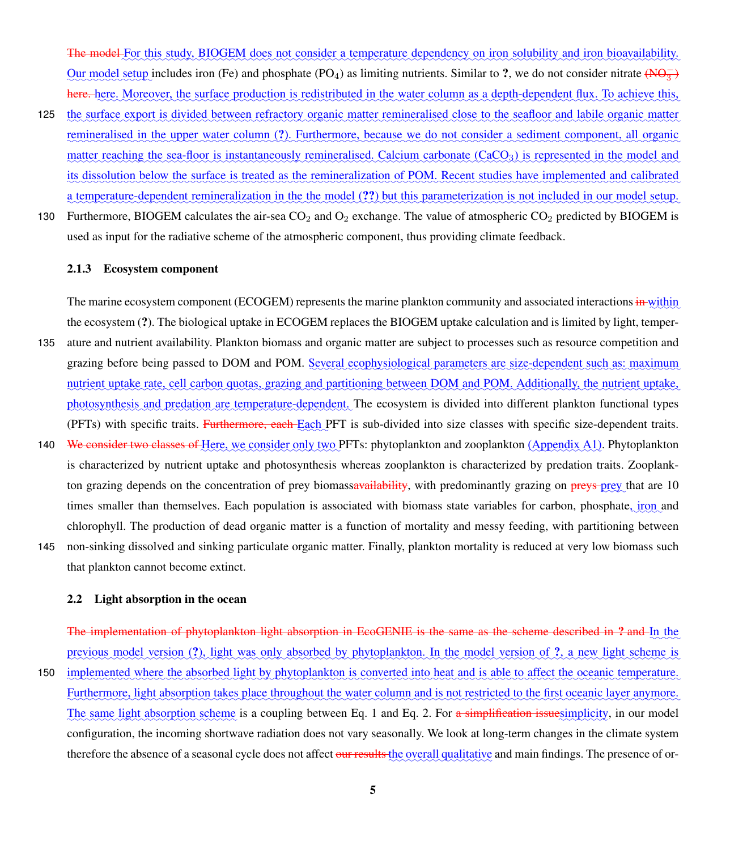The model For this study, BIOGEM does not consider a temperature dependency on iron solubility and iron bioavailability. Our model setup includes iron (Fe) and phosphate (PO<sub>4</sub>) as limiting nutrients. Similar to ?, we do not consider nitrate  $(\overline{N}\overline{\Theta_3^-})$ here. here. Moreover, the surface production is redistributed in the water column as a depth-dependent flux. To achieve this,

- 125 the surface export is divided between refractory organic matter remineralised close to the seafloor and labile organic matter remineralised in the upper water column (?). Furthermore, because we do not consider a sediment component, all organic matter reaching the sea-floor is instantaneously remineralised. Calcium carbonate (CaCO<sub>3</sub>) is represented in the model and its dissolution below the surface is treated as the remineralization of POM. Recent studies have implemented and calibrated a temperature-dependent remineralization in the the model (??) but this parameterization is not included in our model setup.
- 130 Furthermore, BIOGEM calculates the air-sea  $CO_2$  and  $O_2$  exchange. The value of atmospheric  $CO_2$  predicted by BIOGEM is used as input for the radiative scheme of the atmospheric component, thus providing climate feedback.

# 2.1.3 Ecosystem component

The marine ecosystem component (ECOGEM) represents the marine plankton community and associated interactions in within the ecosystem (?). The biological uptake in ECOGEM replaces the BIOGEM uptake calculation and is limited by light, temper-135 ature and nutrient availability. Plankton biomass and organic matter are subject to processes such as resource competition and

- grazing before being passed to DOM and POM. Several ecophysiological parameters are size-dependent such as: maximum nutrient uptake rate, cell carbon quotas, grazing and partitioning between DOM and POM. Additionally, the nutrient uptake, photosynthesis and predation are temperature-dependent. The ecosystem is divided into different plankton functional types (PFTs) with specific traits. Furthermore, each Each PFT is sub-divided into size classes with specific size-dependent traits.
- 140 We consider two classes of Here, we consider only two PFTs: phytoplankton and zooplankton (Appendix [A1\)](#page-27-0). Phytoplankton is characterized by nutrient uptake and photosynthesis whereas zooplankton is characterized by predation traits. Zooplankton grazing depends on the concentration of prey biomass<del>availability</del>, with predominantly grazing on <del>preys prey</del> that are 10 times smaller than themselves. Each population is associated with biomass state variables for carbon, phosphate, *iron* and chlorophyll. The production of dead organic matter is a function of mortality and messy feeding, with partitioning between
- 145 non-sinking dissolved and sinking particulate organic matter. Finally, plankton mortality is reduced at very low biomass such that plankton cannot become extinct.

## 2.2 Light absorption in the ocean

The implementation of phytoplankton light absorption in EcoGENIE is the same as the scheme described in ? and In the previous model version (?), light was only absorbed by phytoplankton. In the model version of ?, a new light scheme is

150 implemented where the absorbed light by phytoplankton is converted into heat and is able to affect the oceanic temperature. Furthermore, light absorption takes place throughout the water column and is not restricted to the first oceanic layer anymore. The same light absorption scheme is a coupling between Eq. [1](#page-5-0) and Eq. [2.](#page-5-1) For a simplification issuesimplicity, in our model configuration, the incoming shortwave radiation does not vary seasonally. We look at long-term changes in the climate system therefore the absence of a seasonal cycle does not affect <del>our results the</del> overall qualitative and main findings. The presence of or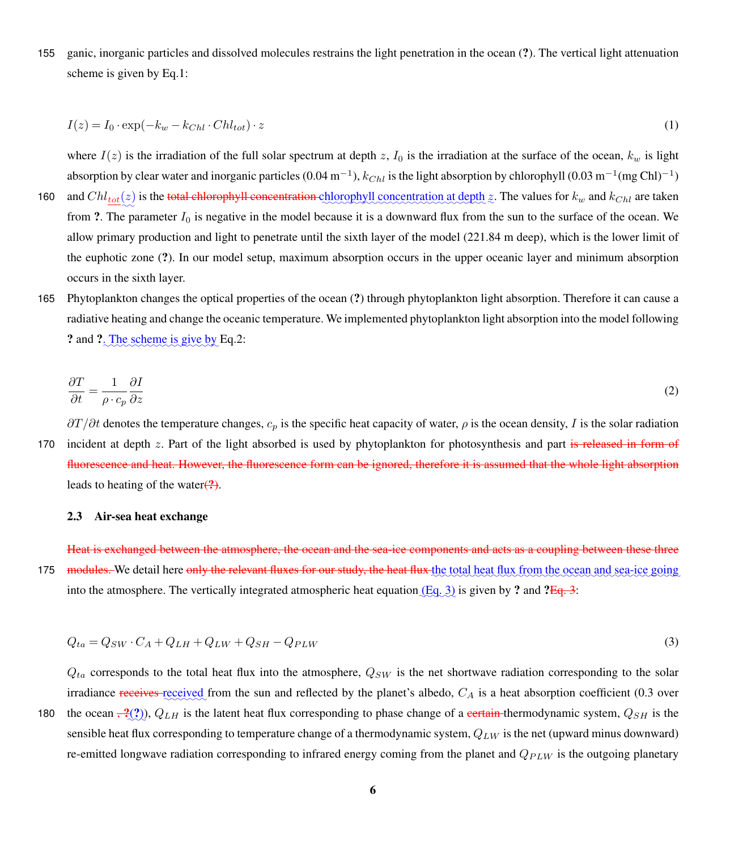155 ganic, inorganic particles and dissolved molecules restrains the light penetration in the ocean (?). The vertical light attenuation scheme is given by Eq[.1:](#page-5-0)

<span id="page-5-0"></span>
$$
I(z) = I_0 \cdot \exp(-k_w - k_{Chl} \cdot Chl_{tot}) \cdot z \tag{1}
$$

where  $I(z)$  is the irradiation of the full solar spectrum at depth z,  $I_0$  is the irradiation at the surface of the ocean,  $k_w$  is light absorption by clear water and inorganic particles (0.04 m<sup>-1</sup>),  $k_{Chl}$  is the light absorption by chlorophyll (0.03 m<sup>-1</sup>(mg Chl)<sup>-1</sup>)

- 160 and  $Chl_{tot}(z)$  is the total chlorophyll concentration chlorophyll concentration at depth z. The values for  $k_w$  and  $k_{Chl}$  are taken from ?. The parameter  $I_0$  is negative in the model because it is a downward flux from the sun to the surface of the ocean. We allow primary production and light to penetrate until the sixth layer of the model (221.84 m deep), which is the lower limit of the euphotic zone (?). In our model setup, maximum absorption occurs in the upper oceanic layer and minimum absorption occurs in the sixth layer.
- 165 Phytoplankton changes the optical properties of the ocean (?) through phytoplankton light absorption. Therefore it can cause a radiative heating and change the oceanic temperature. We implemented phytoplankton light absorption into the model following ? and ?. The scheme is give by Eq[.2:](#page-5-1)

<span id="page-5-1"></span>
$$
\frac{\partial T}{\partial t} = \frac{1}{\rho \cdot c_p} \frac{\partial I}{\partial z} \tag{2}
$$

 $\partial T/\partial t$  denotes the temperature changes,  $c_p$  is the specific heat capacity of water,  $\rho$  is the ocean density, I is the solar radiation 170 incident at depth z. Part of the light absorbed is used by phytoplankton for photosynthesis and part is released in form of fluorescence and heat. However, the fluorescence form can be ignored, therefore it is assumed that the whole light absorption leads to heating of the water $(?)$ .

#### 2.3 Air-sea heat exchange

Heat is exchanged between the atmosphere, the ocean and the sea-ice components and acts as a coupling between these three 175 modules. We detail here only the relevant fluxes for our study, the heat flux the total heat flux from the ocean and sea-ice going into the atmosphere. The vertically integrated atmospheric heat equation  $(Eq. 3)$  $(Eq. 3)$  is given by ? and ?Eq. [3:](#page-5-2)

<span id="page-5-2"></span>
$$
Q_{ta} = Q_{SW} \cdot C_A + Q_{LH} + Q_{LW} + Q_{SH} - Q_{PLW}
$$
\n
$$
(3)
$$

 $Q_{ta}$  corresponds to the total heat flux into the atmosphere,  $Q_{SW}$  is the net shortwave radiation corresponding to the solar irradiance receives received from the sun and reflected by the planet's albedo,  $C_A$  is a heat absorption coefficient (0.3 over

180 the ocean  $\frac{2}{2}$ ,  $Q_{LH}$  is the latent heat flux corresponding to phase change of a certain-thermodynamic system,  $Q_{SH}$  is the sensible heat flux corresponding to temperature change of a thermodynamic system,  $Q_{LW}$  is the net (upward minus downward) re-emitted longwave radiation corresponding to infrared energy coming from the planet and  $Q_{PLW}$  is the outgoing planetary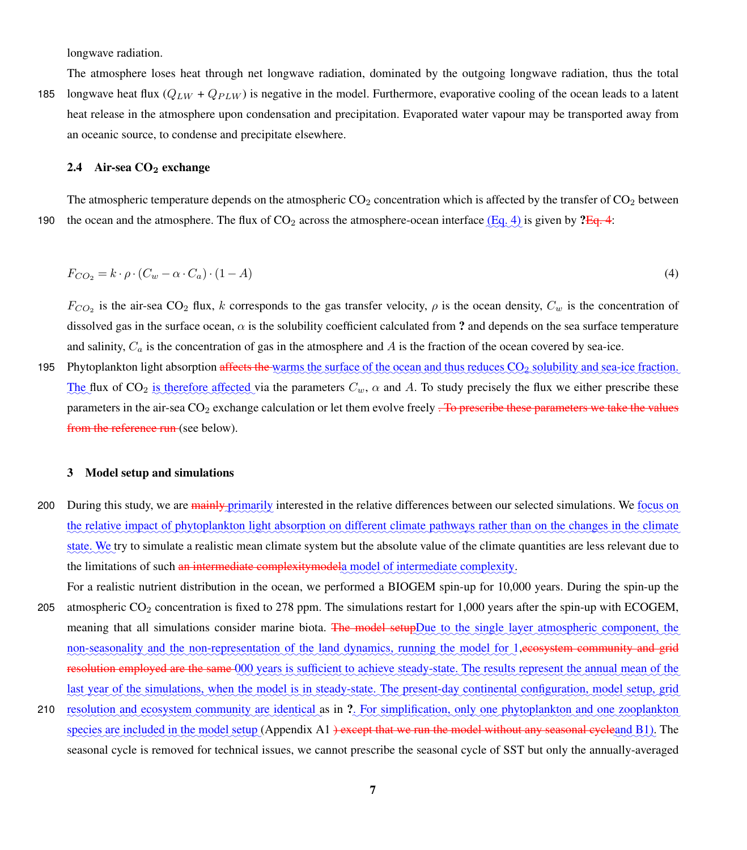longwave radiation.

The atmosphere loses heat through net longwave radiation, dominated by the outgoing longwave radiation, thus the total

185 longwave heat flux  $(Q_{LW} + Q_{PLW})$  is negative in the model. Furthermore, evaporative cooling of the ocean leads to a latent heat release in the atmosphere upon condensation and precipitation. Evaporated water vapour may be transported away from an oceanic source, to condense and precipitate elsewhere.

# 2.4 Air-sea  $CO<sub>2</sub>$  exchange

The atmospheric temperature depends on the atmospheric  $CO_2$  concentration which is affected by the transfer of  $CO_2$  between 190 the ocean and the atmosphere. The flux of  $CO_2$  across the atmosphere-ocean interface  $(\text{Eq. 4})$  is given by  $?Eq. 4$ :

<span id="page-6-0"></span>
$$
F_{CO_2} = k \cdot \rho \cdot (C_w - \alpha \cdot C_a) \cdot (1 - A) \tag{4}
$$

 $F_{CO_2}$  is the air-sea CO<sub>2</sub> flux, k corresponds to the gas transfer velocity,  $\rho$  is the ocean density,  $C_w$  is the concentration of dissolved gas in the surface ocean,  $\alpha$  is the solubility coefficient calculated from ? and depends on the sea surface temperature and salinity,  $C_a$  is the concentration of gas in the atmosphere and A is the fraction of the ocean covered by sea-ice.

195 Phytoplankton light absorption affects the warms the surface of the ocean and thus reduces  $CO_2$  solubility and sea-ice fraction. The flux of CO<sub>2</sub> is therefore affected via the parameters  $C_w$ ,  $\alpha$  and A. To study precisely the flux we either prescribe these parameters in the air-sea  $CO<sub>2</sub>$  exchange calculation or let them evolve freely  $\overline{P}$  are prescribe these parameters we take the values from the reference run (see below).

#### 3 Model setup and simulations

- 200 During this study, we are *mainly primarily* interested in the relative differences between our selected simulations. We focus on the relative impact of phytoplankton light absorption on different climate pathways rather than on the changes in the climate state. We try to simulate a realistic mean climate system but the absolute value of the climate quantities are less relevant due to the limitations of such an intermediate complexity modela model of intermediate complexity.
- For a realistic nutrient distribution in the ocean, we performed a BIOGEM spin-up for 10,000 years. During the spin-up the 205 atmospheric CO<sup>2</sup> concentration is fixed to 278 ppm. The simulations restart for 1,000 years after the spin-up with ECOGEM, meaning that all simulations consider marine biota. The model setupDue to the single layer atmospheric component, the non-seasonality and the non-representation of the land dynamics, running the model for 1,ecosystem community and grid resolution employed are the same 000 years is sufficient to achieve steady-state. The results represent the annual mean of the last year of the simulations, when the model is in steady-state. The present-day continental configuration, model setup, grid
- 210 resolution and ecosystem community are identical as in ?. For simplification, only one phytoplankton and one zooplankton species are included in the model setup (Appendix [A1](#page-27-0) <del>) except that we run the model without any seasonal cycleand B1</del>). The seasonal cycle is removed for technical issues, we cannot prescribe the seasonal cycle of SST but only the annually-averaged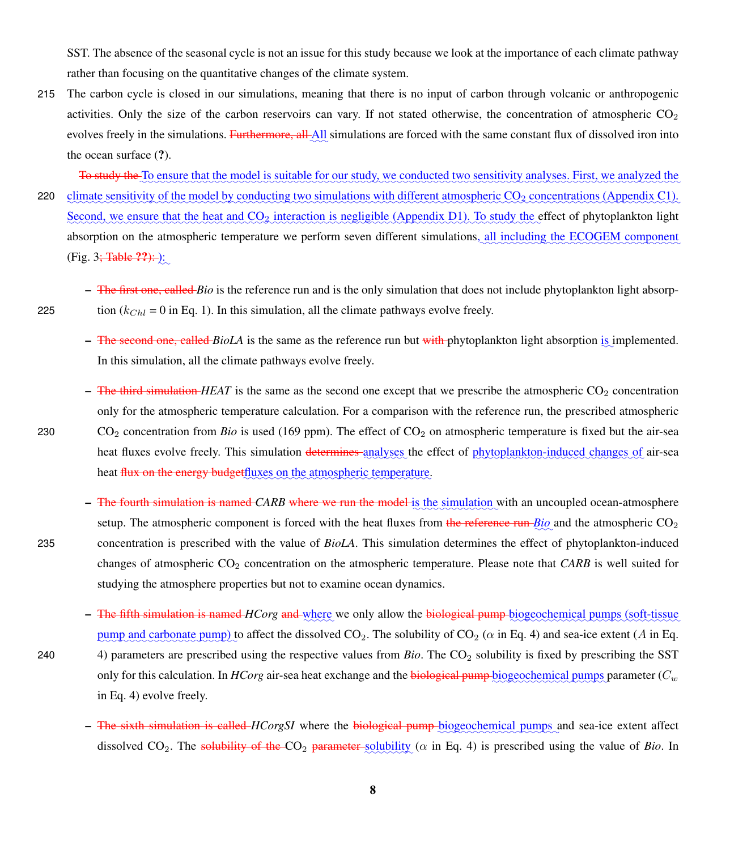SST. The absence of the seasonal cycle is not an issue for this study because we look at the importance of each climate pathway rather than focusing on the quantitative changes of the climate system.

215 The carbon cycle is closed in our simulations, meaning that there is no input of carbon through volcanic or anthropogenic activities. Only the size of the carbon reservoirs can vary. If not stated otherwise, the concentration of atmospheric  $CO<sub>2</sub>$ evolves freely in the simulations. Furthermore, all All simulations are forced with the same constant flux of dissolved iron into the ocean surface (?).

To study the To ensure that the model is suitable for our study, we conducted two sensitivity analyses. First, we analyzed the 220 climate sensitivity of the model by conducting two simulations with different atmospheric CO<sub>2</sub> concentrations (Appendix [C1\)](#page-27-2). Second, we ensure that the heat and CO<sub>2</sub> interaction is negligible (Appendix [D1\)](#page-27-3). To study the effect of phytoplankton light absorption on the atmospheric temperature we perform seven different simulations, all including the ECOGEM component (Fig. 3<del>; Table ??):</del> ):

- The first one, called *Bio* is the reference run and is the only simulation that does not include phytoplankton light absorp-225 tion  $(k_{Chl} = 0$  in Eq. [1\)](#page-5-0). In this simulation, all the climate pathways evolve freely.
	- <del>The second one, called *BioLA*</del> is the same as the reference run but with phytoplankton light absorption is implemented. In this simulation, all the climate pathways evolve freely.
- $-$  The third simulation *HEAT* is the same as the second one except that we prescribe the atmospheric  $CO<sub>2</sub>$  concentration only for the atmospheric temperature calculation. For a comparison with the reference run, the prescribed atmospheric 230 CO<sub>2</sub> concentration from *Bio* is used (169 ppm). The effect of CO<sub>2</sub> on atmospheric temperature is fixed but the air-sea heat fluxes evolve freely. This simulation <del>determines analyses</del> the effect of phytoplankton-induced changes of air-sea heat <del>flux on the energy budget</del>fluxes on the atmospheric temperature.
- $-$  The fourth simulation is named *CARB* where we run the model is the simulation with an uncoupled ocean-atmosphere setup. The atmospheric component is forced with the heat fluxes from the reference run  $Bio$  and the atmospheric CO<sub>2</sub> 235 concentration is prescribed with the value of *BioLA*. This simulation determines the effect of phytoplankton-induced changes of atmospheric CO<sup>2</sup> concentration on the atmospheric temperature. Please note that *CARB* is well suited for studying the atmosphere properties but not to examine ocean dynamics.
- The fifth simulation is named *HCorg* and where we only allow the biological pump biogeochemical pumps (soft-tissue pump and carbonate pump) to affect the dissolved  $CO_2$ . The solubility of  $CO_2$  ( $\alpha$  in Eq. [4\)](#page-6-0) and sea-ice extent (A in Eq. 240 [4\)](#page-6-0) parameters are prescribed using the respective values from *Bio*. The CO<sub>2</sub> solubility is fixed by prescribing the SST only for this calculation. In  $H C { or } g$  air-sea heat exchange and the  $b$ iological pump  $b$ iogeochemical pumps parameter ( $C_w$ in Eq. [4\)](#page-6-0) evolve freely.
	- The sixth simulation is called *HCorgSI* where the biological pump biogeochemical pumps and sea-ice extent affect dissolved  $CO_2$ . The solubility of the  $CO_2$  parameter solubility ( $\alpha$  in Eq. [4\)](#page-6-0) is prescribed using the value of *Bio*. In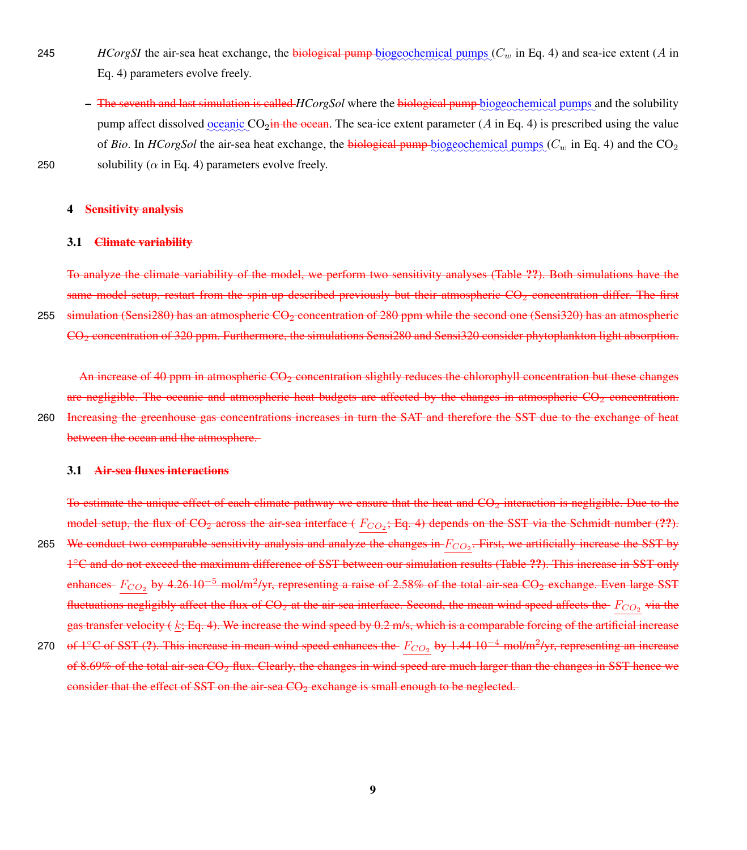- 245 *HCorgSI* the air-sea heat exchange, the biological pump biogeochemical pumps  $(C_w$  in Eq. [4\)](#page-6-0) and sea-ice extent (A in Eq. [4\)](#page-6-0) parameters evolve freely.
- $-$  The seventh and last simulation is called *HCorgSol* where the biological pump biogeochemical pumps and the solubility pump affect dissolved <u>oceanic</u>  $CO_2$  in the ocean. The sea-ice extent parameter (A in Eq. [4\)](#page-6-0) is prescribed using the value of *Bio*. In *HCorgSol* the air-sea heat exchange, the **biological pump** biogeochemical pumps  $(C_w$  in Eq. [4\)](#page-6-0) and the  $CO_2$ 250 solubility ( $\alpha$  in Eq. [4\)](#page-6-0) parameters evolve freely.

#### 4 Sensitivity analysis

#### 3.1 Climate variability

To analyze the climate variability of the model, we perform two sensitivity analyses (Table ??). Both simulations have the same model setup, restart from the spin-up described previously but their atmospheric  $CO<sub>2</sub>$  concentration differ. The first 255 simulation (Sensi280) has an atmospheric  $CO<sub>2</sub>$  concentration of 280 ppm while the second one (Sensi320) has an atmospheric CO<sup>2</sup> concentration of 320 ppm. Furthermore, the simulations Sensi280 and Sensi320 consider phytoplankton light absorption.

An increase of 40 ppm in atmospheric CO<sub>2</sub> concentration slightly reduces the chlorophyll concentration but these changes are negligible. The oceanic and atmospheric heat budgets are affected by the changes in atmospheric  $CO<sub>2</sub>$  concentration.

260 Increasing the greenhouse gas concentrations increases in turn the SAT and therefore the SST due to the exchange of heat between the ocean and the atmosphere.

# 3.1 Air-sea fluxes interactions

To estimate the unique effect of each climate pathway we ensure that the heat and  $CO<sub>2</sub>$  interaction is negligible. Due to the model setup, the flux of  $CO_2$  across the air-sea interface ( $F_{CO_2}$ ; Eq. [4\)](#page-6-0) depends on the SST via the Schmidt number (??). 265 We conduct two comparable sensitivity analysis and analyze the changes in  $F_{CO_2}$ . First, we artificially increase the SST by <sup>1</sup><sup>C</sup> and do not exceed the maximum difference of SST between our simulation results (Table ??). This increase in SST only enhances-  $F_{CO_2}$  by 4.26·10<sup>-5</sup> mol/m<sup>2</sup>/yr, representing a raise of 2.58% of the total air-sea  $CO_2$  exchange. Even large SST fluctuations negligibly affect the flux of  $CO_2$  at the air-sea interface. Second, the mean wind speed affects the  $F_{CO_2}$  via the gas transfer velocity ( $k$ ; Eq. [4\)](#page-6-0). We increase the wind speed by 0.2 m/s, which is a comparable forcing of the artificial increase 270 of 1<sup>o</sup>C of SST (?). This increase in mean wind speed enhances the  $F_{CO_2}$  by 1.44-10<sup>-4</sup> mol/m<sup>2</sup>/yr, representing an increase of 8.69% of the total air-sea  $CO<sub>2</sub>$  flux. Clearly, the changes in wind speed are much larger than the changes in SST hence we

consider that the effect of SST on the air-sea  $CO<sub>2</sub>$  exchange is small enough to be neglected.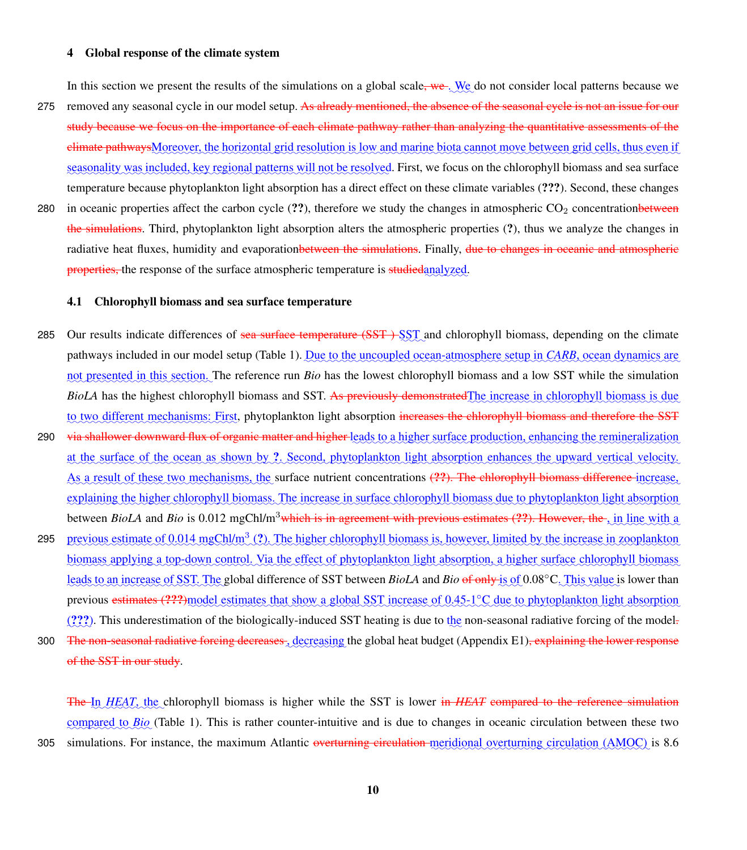#### 4 Global response of the climate system

In this section we present the results of the simulations on a global scale<del>, we</del>. We do not consider local patterns because we

- 275 removed any seasonal cycle in our model setup. As already mentioned, the absence of the seasonal eyele is not an issue for our study because we focus on the importance of each climate pathway rather than analyzing the quantitative assessments of the elimate pathwaysMoreover, the horizontal grid resolution is low and marine biota cannot move between grid cells, thus even if seasonality was included, key regional patterns will not be resolved. First, we focus on the chlorophyll biomass and sea surface temperature because phytoplankton light absorption has a direct effect on these climate variables (???). Second, these changes
- 280 in oceanic properties affect the carbon cycle  $(2, 2)$ , therefore we study the changes in atmospheric CO<sub>2</sub> concentration the simulations. Third, phytoplankton light absorption alters the atmospheric properties (?), thus we analyze the changes in radiative heat fluxes, humidity and evaporationbetween the simulations. Finally, due to changes in oceanic and atmospheric properties, the response of the surface atmospheric temperature is studied analyzed.

## 4.1 Chlorophyll biomass and sea surface temperature

- 285 Our results indicate differences of <del>sea surface temperature (SST)</del> SST and chlorophyll biomass, depending on the climate pathways included in our model setup (Table [1\)](#page-26-0). Due to the uncoupled ocean-atmosphere setup in *CARB*, ocean dynamics are not presented in this section. The reference run *Bio* has the lowest chlorophyll biomass and a low SST while the simulation *BioLA* has the highest chlorophyll biomass and SST. As previously demonstrated *The* increase in chlorophyll biomass is due to two different mechanisms: First, phytoplankton light absorption <del>increases the chlorophyll biomass and therefore the SST</del>
- 290 r<del>ia shallower downward flux of organic matter and higher l</del>eads to a higher surface production, enhancing the remineralization at the surface of the ocean as shown by ?. Second, phytoplankton light absorption enhances the upward vertical velocity. As a result of these two mechanisms, the surface nutrient concentrations (??). The chlorophyll biomass difference increase, explaining the higher chlorophyll biomass. The increase in surface chlorophyll biomass due to phytoplankton light absorption between *BioLA* and *Bio* is 0.012 mgChl/m<sup>3</sup>which is in agreement with previous estimates (??). However, the , in line with a
- 295 previous estimate of 0.014 mgChl/m<sup>3</sup> (?). The higher chlorophyll biomass is, however, limited by the increase in zooplankton biomass applying a top-down control. Via the effect of phytoplankton light absorption, a higher surface chlorophyll biomass leads to an increase of SST. The global difference of SST between *BioLA* and *Bio* of only is of 0.08°C. This value is lower than previous estimates (???)model estimates that show a global SST increase of 0.45-1°C due to phytoplankton light absorption  $(???)$ . This underestimation of the biologically-induced SST heating is due to the non-seasonal radiative forcing of the model.
- 300 The non-seasonal radiative forcing decreases, decreasing the global heat budget (Appendix [E1\)](#page-27-4)<del>, explaining the lower response</del> of the SST in our study.

The In *HEAT*, the chlorophyll biomass is higher while the SST is lower in *HEAT* compared to the reference simulation compared to *Bio* (Table [1\)](#page-26-0). This is rather counter-intuitive and is due to changes in oceanic circulation between these two

305 simulations. For instance, the maximum Atlantic overturning circulation meridional overturning circulation (AMOC) is 8.6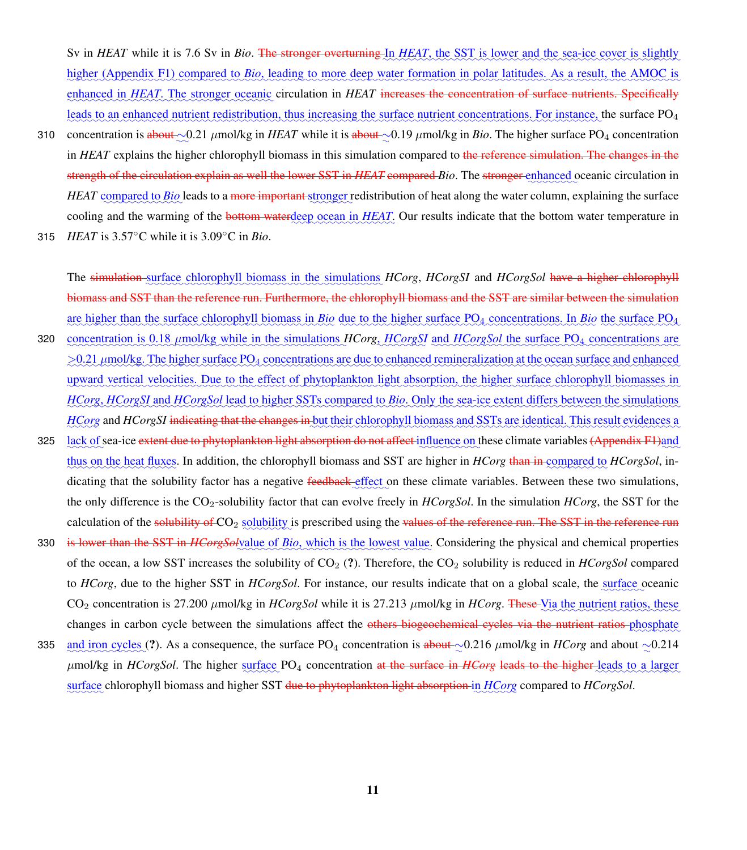Sv in *HEAT* while it is 7.6 Sv in *Bio*. <del>The stronger overturning In *HEAT*, the SST</del> is lower and the sea-ice cover is slightly higher (Appendix [F1\)](#page-28-0) compared to *Bio*, leading to more deep water formation in polar latitudes. As a result, the AMOC is enhanced in *HEAT*. The stronger oceanic circulation in *HEAT* increases the concentration of surface nutrients. Specifically leads to an enhanced nutrient redistribution, thus increasing the surface nutrient concentrations. For instance, the surface PO<sub>4</sub>

- 310 concentration is <del>about</del> ~  $0.21 \mu$ mol/kg in *HEAT* while it is about ~ 0.19 μmol/kg in *Bio*. The higher surface PO<sub>4</sub> concentration in *HEAT* explains the higher chlorophyll biomass in this simulation compared to the reference simulation. The changes in the strength of the circulation explain as well the lower SST in *HEAT* compared *Bio*. The stronger enhanced oceanic circulation in *HEAT* compared to *Bio* leads to a more important stronger redistribution of heat along the water column, explaining the surface cooling and the warming of the **bottom water** deep ocean in *HEAT*. Our results indicate that the bottom water temperature in
- 315 *HEAT* is  $3.57^{\circ}$ C while it is  $3.09^{\circ}$ C in *Bio*.

The simulation surface chlorophyll biomass in the simulations *HCorg*, *HCorgSI* and *HCorgSol* have a higher chlorophyll biomass and SST than the reference run. Furthermore, the chlorophyll biomass and the SST are similar between the simulation are higher than the surface chlorophyll biomass in Bio due to the higher surface PO<sub>4</sub> concentrations. In Bio the surface PO<sub>4</sub>

- 320 concentration is 0.18 umol/kg while in the simulations HCorg, HCorgSI and HCorgSol the surface PO<sub>4</sub> concentrations are  $\geq$ 0.21  $\mu$ mol/kg. The higher surface PO<sub>4</sub> concentrations are due to enhanced remineralization at the ocean surface and enhanced upward vertical velocities. Due to the effect of phytoplankton light absorption, the higher surface chlorophyll biomasses in HCorg, HCorgSI and HCorgSol lead to higher SSTs compared to Bio. Only the sea-ice extent differs between the simulations HCorg and HCorgSI i<del>ndicating that the changes in b</del>ut their chlorophyll biomass and SSTs are identical. This result evidences a
- 325 l<u>ack of</u> sea-ice <del>extent due to phytoplankton light absorption do not affect influence on these climate variables <del>(Appendix [F1\)](#page-28-0)</del>and</del> thus on the heat fluxes. In addition, the chlorophyll biomass and SST are higher in *HCorg* than in compared to *HCorgSol*, indicating that the solubility factor has a negative feedback effect on these climate variables. Between these two simulations, the only difference is the CO2-solubility factor that can evolve freely in *HCorgSol*. In the simulation *HCorg*, the SST for the calculation of the solubility of CO<sub>2</sub> solubility is prescribed using the values of the reference run. The SST in the reference run
- 330 is lower than the SST in *HCorgSolvalue* of *Bio*, which is the lowest value. Considering the physical and chemical properties of the ocean, a low SST increases the solubility of  $CO<sub>2</sub>$  (?). Therefore, the  $CO<sub>2</sub>$  solubility is reduced in *HCorgSol* compared to *HCorg*, due to the higher SST in *HCorgSol*. For instance, our results indicate that on a global scale, the surface oceanic  $CO_2$  concentration is 27.200  $\mu$ mol/kg in *HCorgSol* while it is 27.213  $\mu$ mol/kg in *HCorg*. These Via the nutrient ratios, these changes in carbon cycle between the simulations affect the others biogeochemical cycles via the nutrient ratios phosphate
- 335 and iron cycles (?). As a consequence, the surface PO<sub>4</sub> concentration is about  $\sim$ 0.216  $\mu$ mol/kg in *HCorg* and about  $\sim$ 0.214 μmol/kg in *HCorgSol*. The higher surface PO<sub>4</sub> concentration at the surface in *HCorg* leads to the higher leads to a larger  $\frac{1}{2}$  surface chlorophyll biomass and higher SST <del>due to phytoplankton light absorption i</del>n HCorg compared to HCorgSol.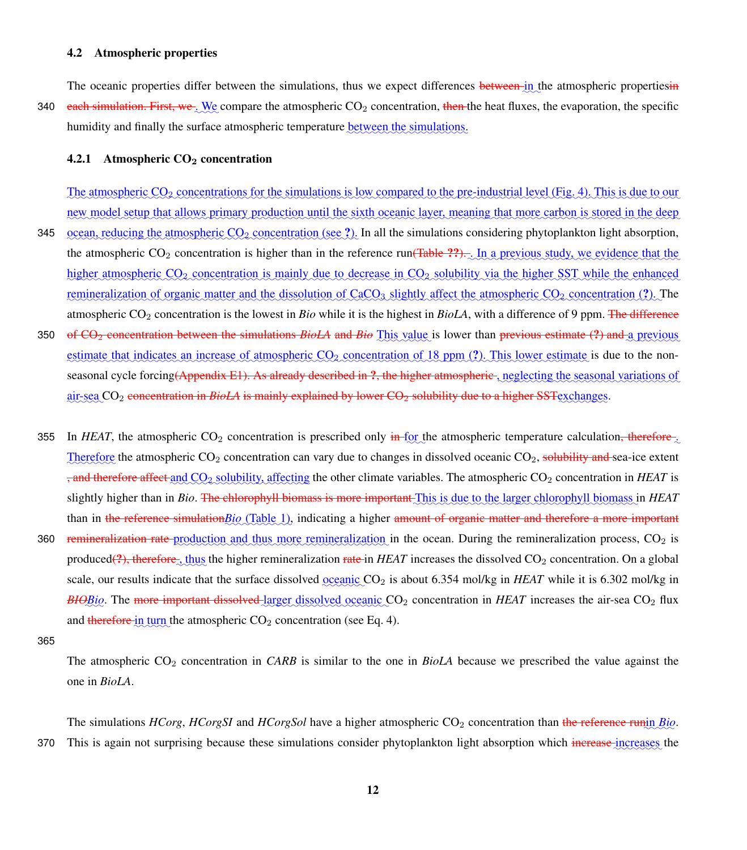#### 4.2 Atmospheric properties

The oceanic properties differ between the simulations, thus we expect differences between in the atmospheric propertiesin 340 each simulation. First, we We compare the atmospheric CO<sub>2</sub> concentration, then the heat fluxes, the evaporation, the specific humidity and finally the surface atmospheric temperature between the simulations.

#### 4.2.1 Atmospheric  $CO<sub>2</sub>$  concentration

The atmospheric  $CO_2$  concentrations for the simulations is low compared to the pre-industrial level (Fig. [4\)](#page-23-0). This is due to our new model setup that allows primary production until the sixth oceanic layer, meaning that more carbon is stored in the deep 345 ocean, reducing the atmospheric  $CO_2$  concentration (see ?). In all the simulations considering phytoplankton light absorption, the atmospheric  $CO_2$  concentration is higher than in the reference run<del>(Table ??).</del> In a previous study, we evidence that the higher atmospheric CO<sub>2</sub> concentration is mainly due to decrease in CO<sub>2</sub> solubility via the higher SST while the enhanced remineralization of organic matter and the dissolution of CaCO<sub>3</sub> slightly affect the atmospheric CO<sub>2</sub> concentration (?). The atmospheric CO<sub>2</sub> concentration is the lowest in *Bio* while it is the highest in *BioLA*, with a difference of 9 ppm. The difference 350 of CO<sub>2</sub> concentration between the simulations *BioLA* and *Bio* This value is lower than previous estimate (?) and a previous

- estimate that indicates an increase of atmospheric  $CO_2$  concentration of 18 ppm  $(?)$ . This lower estimate is due to the non-seasonal cycle forcing<del>(Appendix [E1\)](#page-27-4). As already described in ?, the higher atmospheric , neglecting the seasonal variations of</del> air-sea CO<sub>2</sub> concentration in *BioLA* is mainly explained by lower CO<sub>2</sub> solubility due to a higher SST exchanges.
- 355 In *HEAT*, the atmospheric CO<sub>2</sub> concentration is prescribed only in for the atmospheric temperature calculation<del>, therefore</del> Therefore the atmospheric  $CO_2$  concentration can vary due to changes in dissolved oceanic  $CO_2$ , solubility and sea-ice extent <sub>7</sub>, and therefore affect and CO<sub>2</sub> solubility, affecting the other climate variables. The atmospheric CO<sub>2</sub> concentration in *HEAT* is slightly higher than in *Bio*. <del>The chlorophyll biomass is more important This</del> is due to the larger chlorophyll biomass in HEAT than in the reference simulation*Bio* (Table [1\)](#page-26-0), indicating a higher amount of organic matter and therefore a more important
- 360 remineralization rate production and thus more remineralization in the ocean. During the remineralization process, CO<sub>2</sub> is produced<del>(?), therefore det</del> thus the higher remineralization rate in *HEAT* increases the dissolved CO<sub>2</sub> concentration. On a global scale, our results indicate that the surface dissolved <u>oceanic</u> CO<sub>2</sub> is about 6.354 mol/kg in *HEAT* while it is 6.302 mol/kg in *BIOBio*. The more important dissolved larger dissolved oceanic CO<sub>2</sub> concentration in *HEAT* increases the air-sea CO<sub>2</sub> flux and therefore in turn the atmospheric  $CO_2$  concentration (see Eq. [4\)](#page-6-0).

365

The atmospheric CO<sub>2</sub> concentration in *CARB* is similar to the one in *BioLA* because we prescribed the value against the one in *BioLA*.

The simulations *HCorg*, *HCorgSI* and *HCorgSol* have a higher atmospheric CO<sub>2</sub> concentration than the reference runin *Bio*. 370 This is again not surprising because these simulations consider phytoplankton light absorption which increase increases the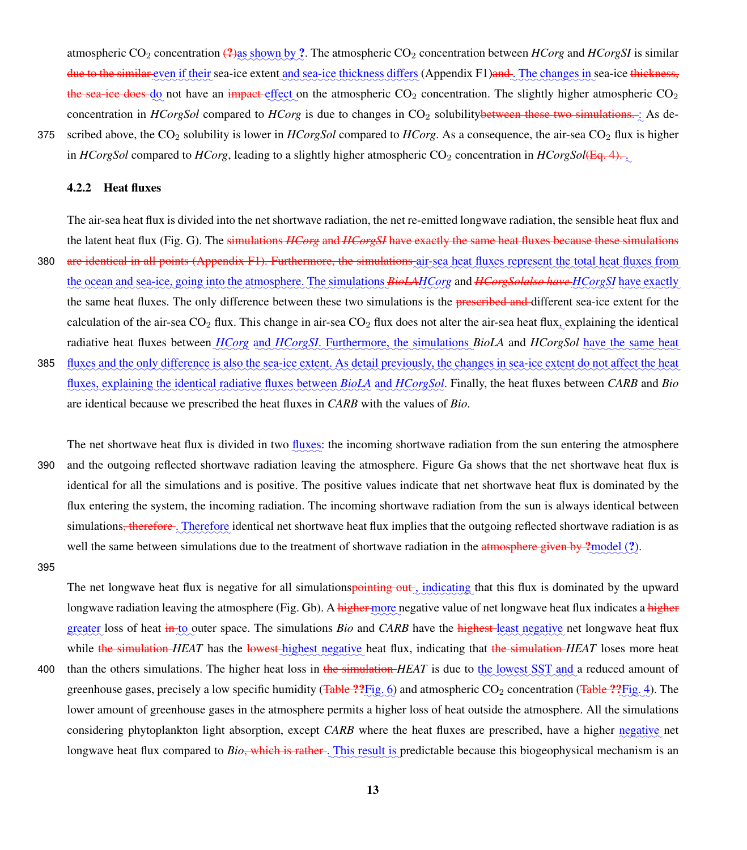atmospheric CO<sub>2</sub> concentration  $\frac{.}{2}$  as shown by ?. The atmospheric CO<sub>2</sub> concentration between *HCorg* and *HCorgSI* is similar <del>due to the similar e</del>ven if their sea-ice extent <u>and sea-ice thickness differs</u> (Appendix [F1\)](#page-28-0)<del>and . The changes in</del> sea-ice <del>thickness,</del> the sea-ice does  $\phi_{\text{Q}}$  not have an impact effect on the atmospheric CO<sub>2</sub> concentration. The slightly higher atmospheric CO<sub>2</sub> concentration in *HCorgSol* compared to *HCorg* is due to changes in CO<sub>2</sub> solubility between these two simulations. As de-

375 scribed above, the CO<sub>2</sub> solubility is lower in *HCorgSol* compared to *HCorg*. As a consequence, the air-sea CO<sub>2</sub> flux is higher in *HCorgSol* compared to *HCorg*, leading to a slightly higher atmospheric CO<sub>2</sub> concentration in *HCorgSol*(Eq. [4\)](#page-6-0).

## 4.2.2 Heat fluxes

The air-sea heat flux is divided into the net shortwave radiation, the net re-emitted longwave radiation, the sensible heat flux and the latent heat flux (Fig. [G\)](#page-0-0). The simulations *HCorg* and *HCorgSI* have exactly the same heat fluxes because these simulations

- 380 **are identical in all points (Appendix [F1\)](#page-28-0). Furthermore, the simulations** air-sea heat fluxes represent the total heat fluxes from the ocean and sea-ice, going into the atmosphere. The simulations *BioLAHCorg* and *HCorgSolalso have HCorgSI* have exactly the same heat fluxes. The only difference between these two simulations is the preseribed and different sea-ice extent for the calculation of the air-sea CO<sub>2</sub> flux. This change in air-sea CO<sub>2</sub> flux does not alter the air-sea heat flux, explaining the identical radiative heat fluxes between *HCorg* and *HCorgSI*. Furthermore, the simulations *BioLA* and *HCorgSol* have the same heat
- 385 fluxes and the only difference is also the sea-ice extent. As detail previously, the changes in sea-ice extent do not affect the heat fluxes, explaining the identical radiative fluxes between *BioLA* and *HCorgSol*. Finally, the heat fluxes between *CARB* and *Bio* are identical because we prescribed the heat fluxes in *CARB* with the values of *Bio*.

The net shortwave heat flux is divided in two *fluxes*: the incoming shortwave radiation from the sun entering the atmosphere 390 and the outgoing reflected shortwave radiation leaving the atmosphere. Figure [Ga](#page-0-0) shows that the net shortwave heat flux is identical for all the simulations and is positive. The positive values indicate that net shortwave heat flux is dominated by the flux entering the system, the incoming radiation. The incoming shortwave radiation from the sun is always identical between simulations<del>, therefore</del> . Therefore identical net shortwave heat flux implies that the outgoing reflected shortwave radiation is as well the same between simulations due to the treatment of shortwave radiation in the atmosphere given by  $\frac{2 \text{model}}{2}$ .

395

The net longwave heat flux is negative for all simulations<del>pointing out<sub>sc</sub>indicating</del> that this flux is dominated by the upward longwave radiation leaving the atmosphere (Fig. [Gb](#page-0-0)). A <del>higher more</del> negative value of net longwave heat flux indicates a <mark>higher</mark> greater loss of heat  $\frac{1}{2}$  heta<sub>st</sub> outer space. The simulations *Bio* and *CARB* have the highest-least negative net longwave heat flux while the simulation *HEAT* has the lowest highest negative heat flux, indicating that the simulation *HEAT* loses more heat than the others simulations. The higher heat loss in the simulation *HEAT* is due to the lowest SST and a reduced amount of greenhouse gases, precisely a low specific humidity (Table ??Fig. [6\)](#page-24-0) and atmospheric CO<sub>2</sub> concentration (Table ??Fig. [4\)](#page-23-0). The lower amount of greenhouse gases in the atmosphere permits a higher loss of heat outside the atmosphere. All the simulations considering phytoplankton light absorption, except *CARB* where the heat fluxes are prescribed, have a higher negative net longwave heat flux compared to *Bio*<del>, which is rather</del>. This result is predictable because this biogeophysical mechanism is an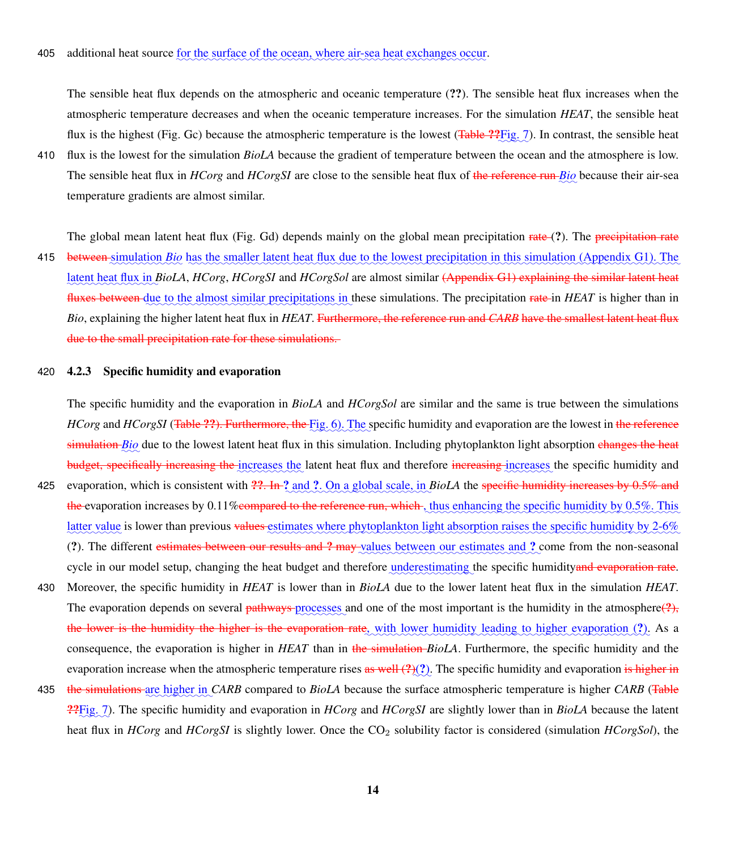The sensible heat flux depends on the atmospheric and oceanic temperature (??). The sensible heat flux increases when the atmospheric temperature decreases and when the oceanic temperature increases. For the simulation *HEAT*, the sensible heat flux is the highest (Fig. [Gc](#page-0-0)) because the atmospheric temperature is the lowest (Table ?? Fig. [7\)](#page-25-0). In contrast, the sensible heat

410 flux is the lowest for the simulation *BioLA* because the gradient of temperature between the ocean and the atmosphere is low. The sensible heat flux in *HCorg* and *HCorgSI* are close to the sensible heat flux of the reference run *Bio* because their air-sea temperature gradients are almost similar.

The global mean latent heat flux (Fig. [Gd](#page-0-0)) depends mainly on the global mean precipitation rate (?). The precipitation rate

415 between simulation *Bio* has the smaller latent heat flux due to the lowest precipitation in this simulation (Appendix [G1\)](#page-28-1). The latent heat flux in *BioLA*, *HCorg*, *HCorgSI* and *HCorgSol* are almost similar <del>(Appendix [G1\)](#page-28-1) explaining the similar latent heat</del> fluxes between due to the almost similar precipitations in these simulations. The precipitation rate in *HEAT* is higher than in *Bio*, explaining the higher latent heat flux in *HEAT*. Furthermore, the reference run and *CARB* have the smallest latent heat flux due to the small precipitation rate for these simulations.

#### 420 4.2.3 Specific humidity and evaporation

The specific humidity and the evaporation in *BioLA* and *HCorgSol* are similar and the same is true between the simulations *HCorg* and *HCorgSI* (<del>Table ??). Furthermore, the Fig. 6</del>). The specific humidity and evaporation are the lowest in the reference simulation *Bio* due to the lowest latent heat flux in this simulation. Including phytoplankton light absorption changes the heat budget, specifically increasing the increases the latent heat flux and therefore increasing increases the specific humidity and

- 425 evaporation, which is consistent with  $\frac{22}{10}$ . In  $\frac{2}{3}$  and  $\frac{2}{3}$ . On a global scale, in *BioLA* the specific humidity increases by 0.5% and the evaporation increases by 0.11% compared to the reference run, which , thus enhancing the specific humidity by 0.5%. This latter value is lower than previous <del>values</del> estimates where phytoplankton light absorption raises the specific humidity by 2-6% (?). The different estimates between our results and ? may values between our estimates and ? come from the non-seasonal cycle in our model setup, changing the heat budget and therefore underestimating the specific humidityand evaporation rate.
- 430 Moreover, the specific humidity in *HEAT* is lower than in *BioLA* due to the lower latent heat flux in the simulation *HEAT*. The evaporation depends on several *pathways* processes and one of the most important is the humidity in the atmosphere(?), the lower is the humidity the higher is the evaporation rate<sub>s</sub> with lower humidity leading to higher evaporation (?). As a consequence, the evaporation is higher in *HEAT* than in the simulation *BioLA*. Furthermore, the specific humidity and the evaporation increase when the atmospheric temperature rises  $\frac{a}{x}$  well  $(2)$   $(2)$ . The specific humidity and evaporation is higher in
- 435 **the simulations** are higher in *CARB* compared to *BioLA* because the surface atmospheric temperature is higher *CARB* (Table **??**Fig. [7\)](#page-25-0). The specific humidity and evaporation in *HCorg* and *HCorgSI* are slightly lower than in *BioLA* because the latent heat flux in *HCorg* and *HCorgSI* is slightly lower. Once the CO<sub>2</sub> solubility factor is considered (simulation *HCorgSol*), the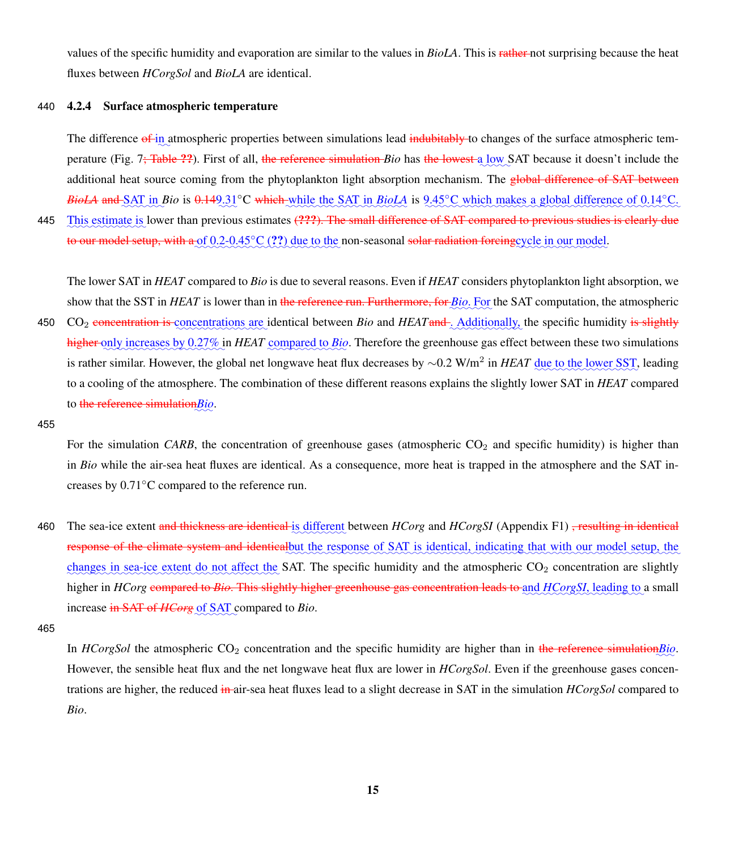values of the specific humidity and evaporation are similar to the values in *BioLA*. This is rather not surprising because the heat fluxes between *HCorgSol* and *BioLA* are identical.

### 440 4.2.4 Surface atmospheric temperature

The difference of in atmospheric properties between simulations lead indubitably to changes of the surface atmospheric temperature (Fig. 7<del>; Table ??</del>). First of all, <del>the reference simulation *Bio* has the lowest a low</del> SAT because it doesn't include the additional heat source coming from the phytoplankton light absorption mechanism. The global difference of SAT between *BioLA* and SAT in *Bio* is  $0.149.31°$ C which while the SAT in *BioLA* is  $9.45°$ C which makes a global difference of  $0.14°$ C.

445 Ibis estimate is lower than previous estimates (???). The small difference of SAT compared to previous studies is clearly due to our model setup, with a of 0.2-0.45°C (??) due to the non-seasonal solar radiation forcing cycle in our model.

The lower SAT in *HEAT* compared to *Bio* is due to several reasons. Even if *HEAT* considers phytoplankton light absorption, we show that the SST in *HEAT* is lower than in the reference run. Furthermore, for *Bio*. For the SAT computation, the atmospheric

- 450 CO<sub>2</sub> concentration is concentrations are identical between *Bio* and *HEAT* and *Additionally*, the specific humidity is slightly higher only increases by 0.27% in *HEAT* compared to *Bio*. Therefore the greenhouse gas effect between these two simulations is rather similar. However, the global net longwave heat flux decreases by ∼0.2 W/m<sup>2</sup> in *HEAT* <u>due to the lower SST</u>, leading to a cooling of the atmosphere. The combination of these different reasons explains the slightly lower SAT in *HEAT* compared to <del>the reference simulation</del> $\underline{Bi}\overline{o}$ .
- 455

For the simulation *CARB*, the concentration of greenhouse gases (atmospheric  $CO<sub>2</sub>$  and specific humidity) is higher than in *Bio* while the air-sea heat fluxes are identical. As a consequence, more heat is trapped in the atmosphere and the SAT increases by 0.71◦C compared to the reference run.

460 The sea-ice extent and thickness are identical is different between *HCorg* and *HCorgSI* (Appendix [F1\)](#page-28-0) <del>, resulting in identical</del> response of the climate system and identicalbut the response of SAT is identical, indicating that with our model setup, the changes in sea-ice extent do not affect the SAT. The specific humidity and the atmospheric  $CO_2$  concentration are slightly higher in *HCorg* compared to Bio. This slightly higher greenhouse gas concentration leads to and HCorgSI, leading to a small increase in SAT of *HCorg* of SAT compared to *Bio*.

In *HCorgSol* the atmospheric CO<sub>2</sub> concentration and the specific humidity are higher than in the reference simulation*Bio*. However, the sensible heat flux and the net longwave heat flux are lower in *HCorgSol*. Even if the greenhouse gases concentrations are higher, the reduced in air-sea heat fluxes lead to a slight decrease in SAT in the simulation *HCorgSol* compared to *Bio*.

<sup>465</sup>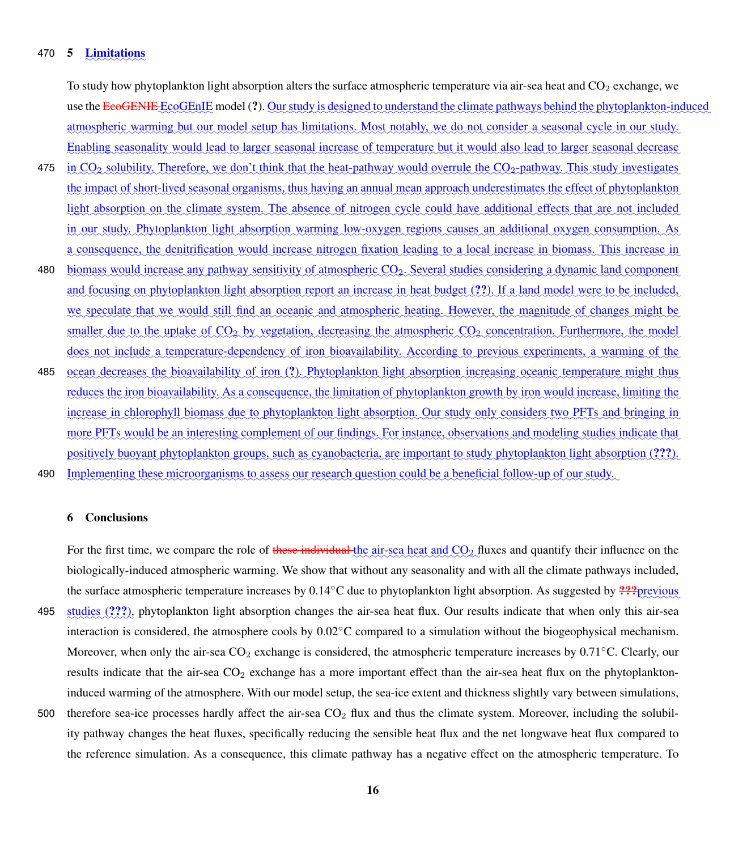# 470 **5** <u>Limitations</u>

To study how phytoplankton light absorption alters the surface atmospheric temperature via air-sea heat and  $CO<sub>2</sub>$  exchange, we use the <del>EcoGENIE</del> EcoGEnIE model (?). Our study is designed to understand the climate pathways behind the phytoplankton-induced <u>atmospheric warming but our model setup has limitations. Most notably, we do not consider a seasonal cycle in our study.</u> Enabling seasonality would lead to larger seasonal increase of temperature but it would also lead to larger seasonal decrease

- 475 in  $CO_2$  solubility. Therefore, we don't think that the heat-pathway would overrule the  $CO_2$ -pathway. This study investigates the impact of short-lived seasonal organisms, thus having an annual mean approach underestimates the effect of phytoplankton light absorption on the climate system. The absence of nitrogen cycle could have additional effects that are not included <u>in our study. Phytoplankton light absorption warming low-oxygen regions causes an additional oxygen consumption. As</u> a consequence, the denitrification would increase nitrogen fixation leading to a local increase in biomass. This increase in
- 480 biomass would increase any pathway sensitivity of atmospheric CO<sub>2</sub>. Several studies considering a dynamic land component and focusing on phytoplankton light absorption report an increase in heat budget (??). If a land model were to be included, we speculate that we would still find an oceanic and atmospheric heating. However, the magnitude of changes might be smaller due to the uptake of  $CO_2$  by vegetation, decreasing the atmospheric  $CO_2$  concentration. Furthermore, the model does not include a temperature-dependency of iron bioavailability. According to previous experiments, a warming of the
- 485 ocean decreases the bioavailability of iron (?). Phytoplankton light absorption increasing oceanic temperature might thus reduces the iron bioavailability. As a consequence, the limitation of phytoplankton growth by iron would increase, limiting the increase in chlorophyll biomass due to phytoplankton light absorption. Our study only considers two PFTs and bringing in more PFTs would be an interesting complement of our findings. For instance, observations and modeling studies indicate that positively buoyant phytoplankton groups, such as cyanobacteria, are important to study phytoplankton light absorption (???).
- Implementing these microorganisms to assess our research question could be a beneficial follow-up of our study. 490

## 6 Conclusions

For the first time, we compare the role of these individual the air-sea heat and  $CO_2$  fluxes and quantify their influence on the biologically-induced atmospheric warming. We show that without any seasonality and with all the climate pathways included, the surface atmospheric temperature increases by 0.14℃ due to phytoplankton light absorption. As suggested by ??? Previous 495 studies (???), phytoplankton light absorption changes the air-sea heat flux. Our results indicate that when only this air-sea interaction is considered, the atmosphere cools by 0.02◦C compared to a simulation without the biogeophysical mechanism. Moreover, when only the air-sea  $CO_2$  exchange is considered, the atmospheric temperature increases by 0.71 $°C$ . Clearly, our results indicate that the air-sea CO<sub>2</sub> exchange has a more important effect than the air-sea heat flux on the phytoplanktoninduced warming of the atmosphere. With our model setup, the sea-ice extent and thickness slightly vary between simulations,

500 therefore sea-ice processes hardly affect the air-sea  $CO<sub>2</sub>$  flux and thus the climate system. Moreover, including the solubility pathway changes the heat fluxes, specifically reducing the sensible heat flux and the net longwave heat flux compared to the reference simulation. As a consequence, this climate pathway has a negative effect on the atmospheric temperature. To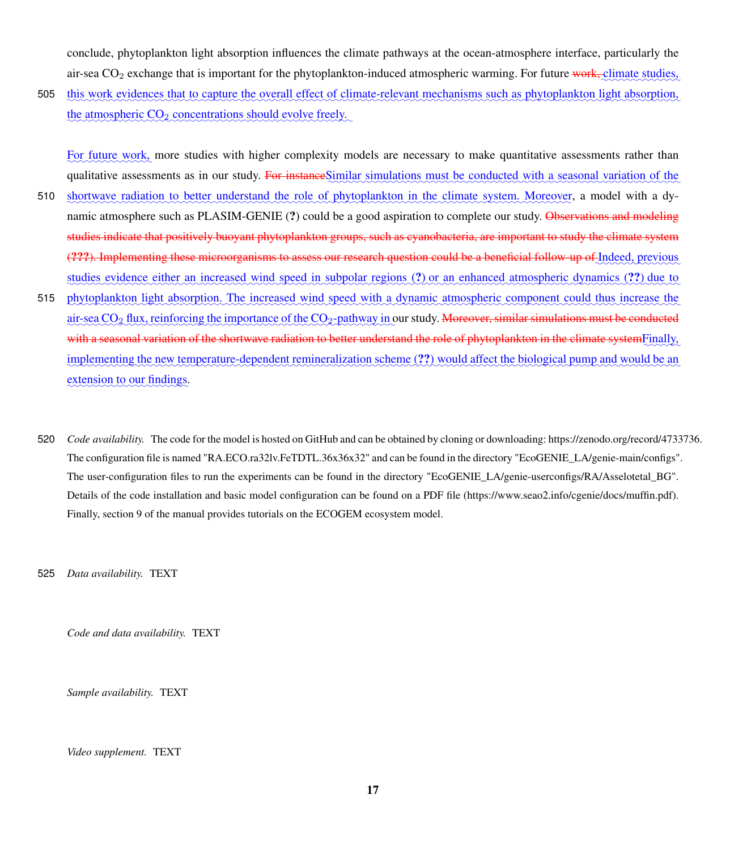conclude, phytoplankton light absorption influences the climate pathways at the ocean-atmosphere interface, particularly the air-sea CO<sub>2</sub> exchange that is important for the phytoplankton-induced atmospheric warming. For future work, climate studies,

505 this work evidences that to capture the overall effect of climate-relevant mechanisms such as phytoplankton light absorption, the atmospheric  $CO_2$  concentrations should evolve freely.

For future work, more studies with higher complexity models are necessary to make quantitative assessments rather than qualitative assessments as in our study. For instance Similar simulations must be conducted with a seasonal variation of the

- 510 shortwave radiation to better understand the role of phytoplankton in the climate system. Moreover, a model with a dynamic atmosphere such as PLASIM-GENIE (?) could be a good aspiration to complete our study. Observations and modeling studies indicate that positively buoyant phytoplankton groups, such as cyanobacteria, are important to study the climate system (???). Implementing these microorganisms to assess our research question could be a beneficial follow-up of Indeed, previous studies evidence either an increased wind speed in subpolar regions (?) or an enhanced atmospheric dynamics (??) due to
- 515 phytoplankton light absorption. The increased wind speed with a dynamic atmospheric component could thus increase the air-sea CO<sub>2</sub> flux, reinforcing the importance of the CO<sub>2</sub>-pathway in our study. <del>Moreover, similar simulations must be conducted</del> with a seasonal variation of the shortwave radiation to better understand the role of phytoplankton in the climate systemFinally, implementing the new temperature-dependent remineralization scheme (??) would affect the biological pump and would be an extension to our findings.
- 520 *Code availability.* The code for the model is hosted on GitHub and can be obtained by cloning or downloading: https://zenodo.org/record/4733736. The configuration file is named "RA.ECO.ra32lv.FeTDTL.36x36x32" and can be found in the directory "EcoGENIE\_LA/genie-main/configs". The user-configuration files to run the experiments can be found in the directory "EcoGENIE\_LA/genie-userconfigs/RA/Asselotetal\_BG". Details of the code installation and basic model configuration can be found on a PDF file (https://www.seao2.info/cgenie/docs/muffin.pdf). Finally, section 9 of the manual provides tutorials on the ECOGEM ecosystem model.

525 *Data availability.* TEXT

*Code and data availability.* TEXT

*Sample availability.* TEXT

*Video supplement.* TEXT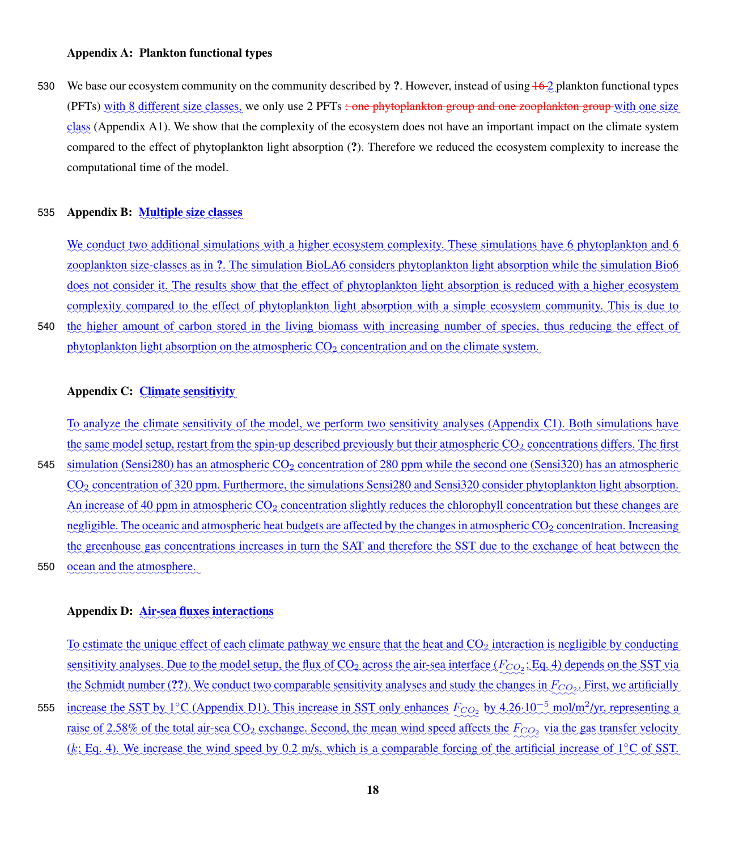530 We base our ecosystem community on the community described by ?. However, instead of using  $\frac{16}{2}$  plankton functional types (PFTs) with 8 different size classes, we only use 2 PFTs <del>: one phytoplankton group and one zooplankton group</del> with one size class (Appendix [A1\)](#page-27-0). We show that the complexity of the ecosystem does not have an important impact on the climate system compared to the effect of phytoplankton light absorption (?). Therefore we reduced the ecosystem complexity to increase the computational time of the model.

# 535 Appendix B: Multiple size classes

We conduct two additional simulations with a higher ecosystem complexity. These simulations have 6 phytoplankton and 6 zooplankton size-classes as in ?. The simulation BioLA6 considers phytoplankton light absorption while the simulation Bio6 does not consider it. The results show that the effect of phytoplankton light absorption is reduced with a higher ecosystem complexity compared to the effect of phytoplankton light absorption with a simple ecosystem community. This is due to

540 the higher amount of carbon stored in the living biomass with increasing number of species, thus reducing the effect of phytoplankton light absorption on the atmospheric  $CO_2$  concentration and on the climate system.

# Appendix C: Climate sensitivity

To analyze the climate sensitivity of the model, we perform two sensitivity analyses (Appendix [C1\)](#page-27-2). Both simulations have the same model setup, restart from the spin-up described previously but their atmospheric CO<sub>2</sub> concentrations differs. The first

545 simulation (Sensi280) has an atmospheric CO<sub>2</sub> concentration of 280 ppm while the second one (Sensi320) has an atmospheric CO<sub>2</sub> concentration of 320 ppm. Furthermore, the simulations Sensi280 and Sensi320 consider phytoplankton light absorption. An increase of 40 ppm in atmospheric CO<sub>2</sub> concentration slightly reduces the chlorophyll concentration but these changes are negligible. The oceanic and atmospheric heat budgets are affected by the changes in atmospheric CO<sub>2</sub> concentration. Increasing the greenhouse gas concentrations increases in turn the SAT and therefore the SST due to the exchange of heat between the ocean and the atmosphere. 550

# Appendix D: Air-sea fluxes interactions

To estimate the unique effect of each climate pathway we ensure that the heat and CO<sub>2</sub> interaction is negligible by conducting sensitivity analyses. Due to the model setup, the flux of  $CO_2$  across the air-sea interface ( $F_{CO_2}$ ; Eq. [4\)](#page-6-0) depends on the SST via the Schmidt number (??). We conduct two comparable sensitivity analyses and study the changes in  $F_{CO_2}$ . First, we artificially 555 increase the SST by 1°C (Appendix [D1\)](#page-27-3). This increase in SST only enhances  $F_{CO_2}$  by 4.26.10<sup>-5</sup> mol/m<sup>2</sup>/yr, representing a raise of 2.58% of the total air-sea CO<sub>2</sub> exchange. Second, the mean wind speed affects the  $F_{CO_2}$  via the gas transfer velocity (k; Eq. [4\)](#page-6-0). We increase the wind speed by 0.2 m/s, which is a comparable forcing of the artificial increase of 1°C of SST.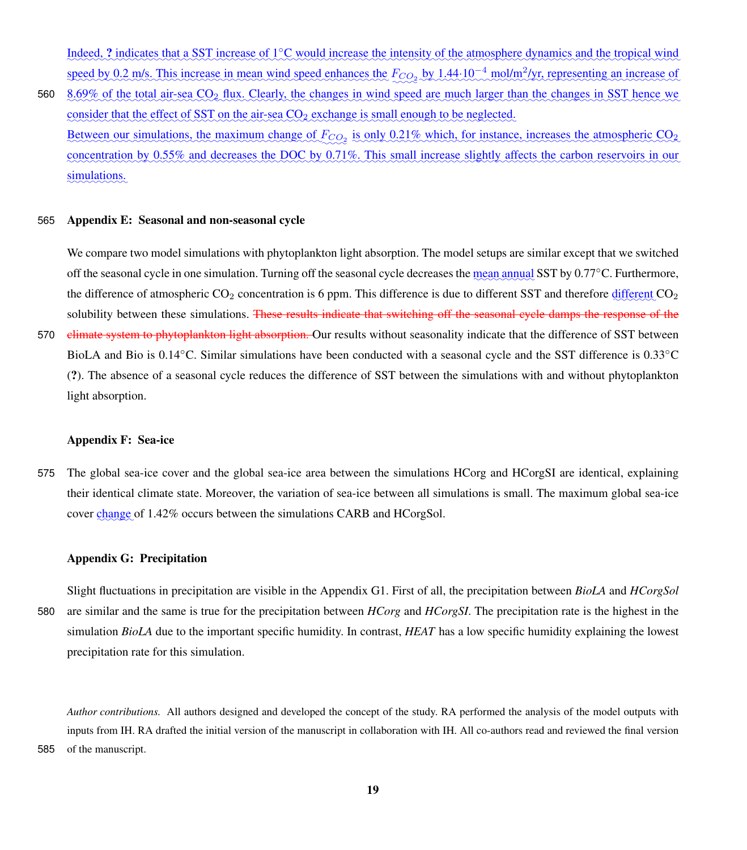Indeed, ? indicates that a SST increase of 1°C would increase the intensity of the atmosphere dynamics and the tropical wind speed by 0.2 m/s. This increase in mean wind speed enhances the  $F_{CO_2}$  by 1.44.10<sup>-4</sup> mol/m<sup>2</sup>/yr, representing an increase of

560 8.69% of the total air-sea CO<sub>2</sub> flux. Clearly, the changes in wind speed are much larger than the changes in SST hence we consider that the effect of SST on the air-sea CO<sub>2</sub> exchange is small enough to be neglected. Between our simulations, the maximum change of  $F_{CO_2}$  is only 0.21% which, for instance, increases the atmospheric  $CO_2$ concentration by 0.55% and decreases the DOC by 0.71%. This small increase slightly affects the carbon reservoirs in our simulations.

## 565 Appendix E: Seasonal and non-seasonal cycle

We compare two model simulations with phytoplankton light absorption. The model setups are similar except that we switched off the seasonal cycle in one simulation. Turning off the seasonal cycle decreases the mean annual SST by 0.77°C. Furthermore, the difference of atmospheric  $CO_2$  concentration is 6 ppm. This difference is due to different SST and therefore  $d$ solubility between these simulations. These results indicate that switching off the seasonal cycle damps the response of the

570 climate system to phytoplankton light absorption. Our results without seasonality indicate that the difference of SST between BioLA and Bio is 0.14◦C. Similar simulations have been conducted with a seasonal cycle and the SST difference is 0.33◦C (?). The absence of a seasonal cycle reduces the difference of SST between the simulations with and without phytoplankton light absorption.

#### Appendix F: Sea-ice

575 The global sea-ice cover and the global sea-ice area between the simulations HCorg and HCorgSI are identical, explaining their identical climate state. Moreover, the variation of sea-ice between all simulations is small. The maximum global sea-ice cover change of 1.42% occurs between the simulations CARB and HCorgSol.

#### Appendix G: Precipitation

Slight fluctuations in precipitation are visible in the Appendix [G1.](#page-28-1) First of all, the precipitation between *BioLA* and *HCorgSol* 580 are similar and the same is true for the precipitation between *HCorg* and *HCorgSI*. The precipitation rate is the highest in the simulation *BioLA* due to the important specific humidity. In contrast, *HEAT* has a low specific humidity explaining the lowest precipitation rate for this simulation.

*Author contributions.* All authors designed and developed the concept of the study. RA performed the analysis of the model outputs with inputs from IH. RA drafted the initial version of the manuscript in collaboration with IH. All co-authors read and reviewed the final version 585 of the manuscript.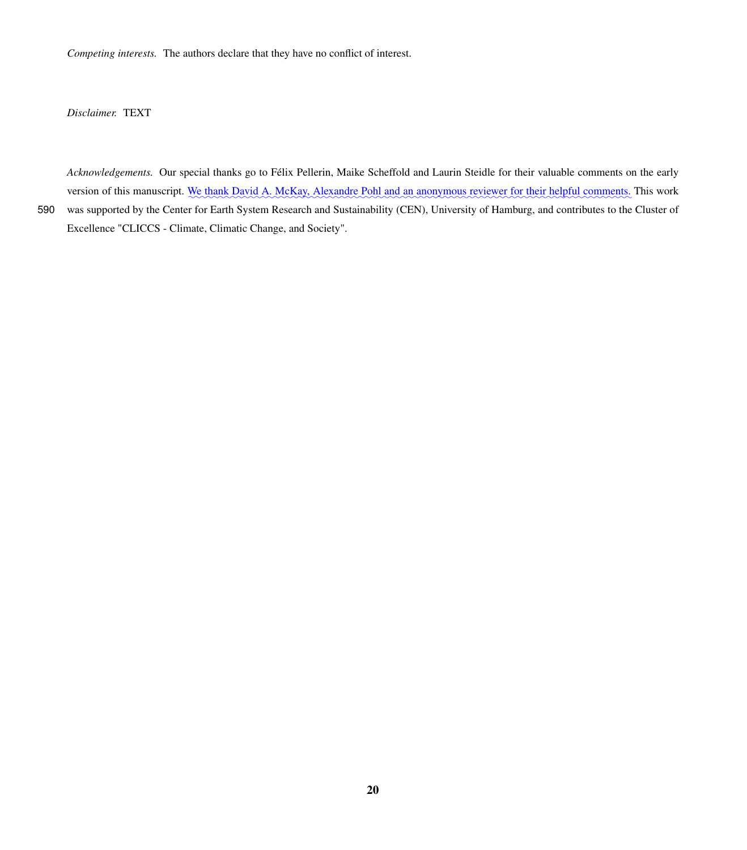*Competing interests.* The authors declare that they have no conflict of interest.

*Disclaimer.* TEXT

*Acknowledgements.* Our special thanks go to Félix Pellerin, Maike Scheffold and Laurin Steidle for their valuable comments on the early version of this manuscript. We thank David A. McKay, Alexandre Pohl and an anonymous reviewer for their helpful comments. This work 590 was supported by the Center for Earth System Research and Sustainability (CEN), University of Hamburg, and contributes to the Cluster of

Excellence "CLICCS - Climate, Climatic Change, and Society".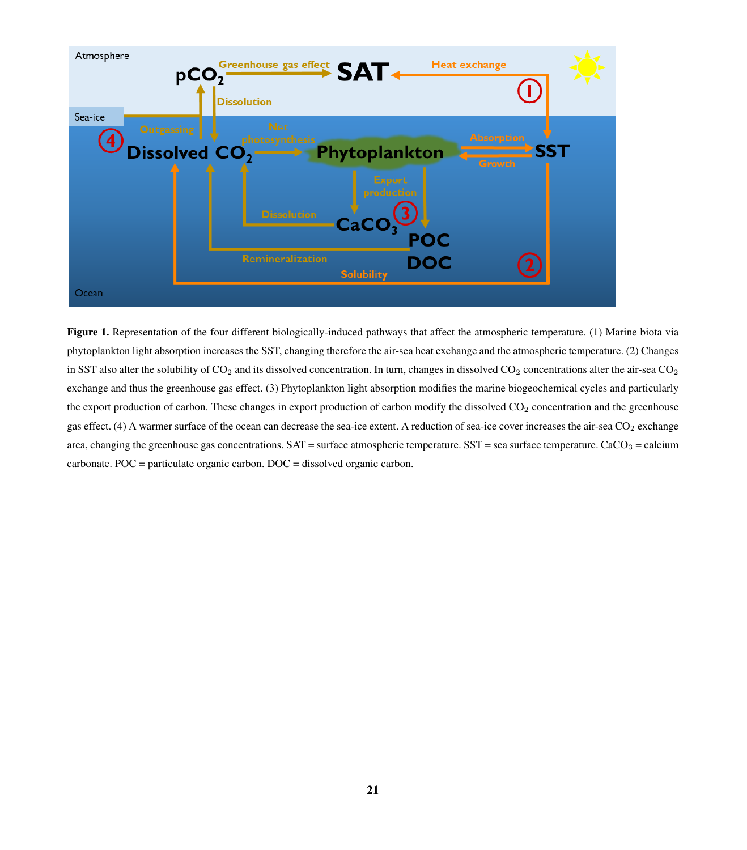<span id="page-20-0"></span>

Figure 1. Representation of the four different biologically-induced pathways that affect the atmospheric temperature. (1) Marine biota via phytoplankton light absorption increases the SST, changing therefore the air-sea heat exchange and the atmospheric temperature. (2) Changes in SST also alter the solubility of  $CO<sub>2</sub>$  and its dissolved concentration. In turn, changes in dissolved  $CO<sub>2</sub>$  concentrations alter the air-sea  $CO<sub>2</sub>$ exchange and thus the greenhouse gas effect. (3) Phytoplankton light absorption modifies the marine biogeochemical cycles and particularly the export production of carbon. These changes in export production of carbon modify the dissolved CO<sub>2</sub> concentration and the greenhouse gas effect. (4) A warmer surface of the ocean can decrease the sea-ice extent. A reduction of sea-ice cover increases the air-sea CO<sub>2</sub> exchange area, changing the greenhouse gas concentrations.  $SAT = surface$  atmospheric temperature.  $SST = sea$  surface temperature.  $CaCO<sub>3</sub> = calcium$ carbonate. POC = particulate organic carbon. DOC = dissolved organic carbon.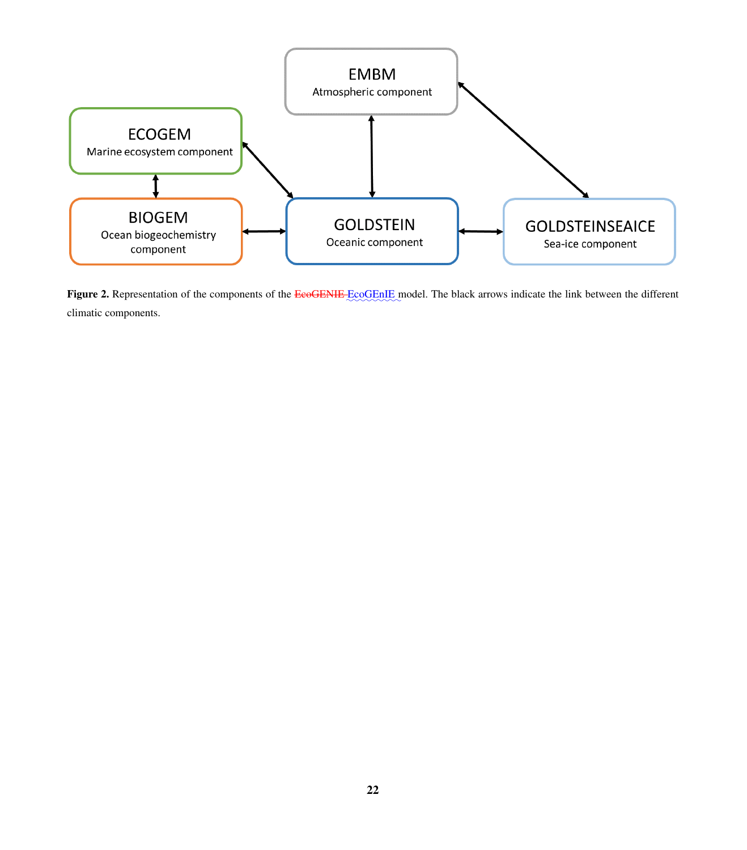<span id="page-21-0"></span>

Figure 2. Representation of the components of the EcoGENIE EcoGENIE model. The black arrows indicate the link between the different climatic components.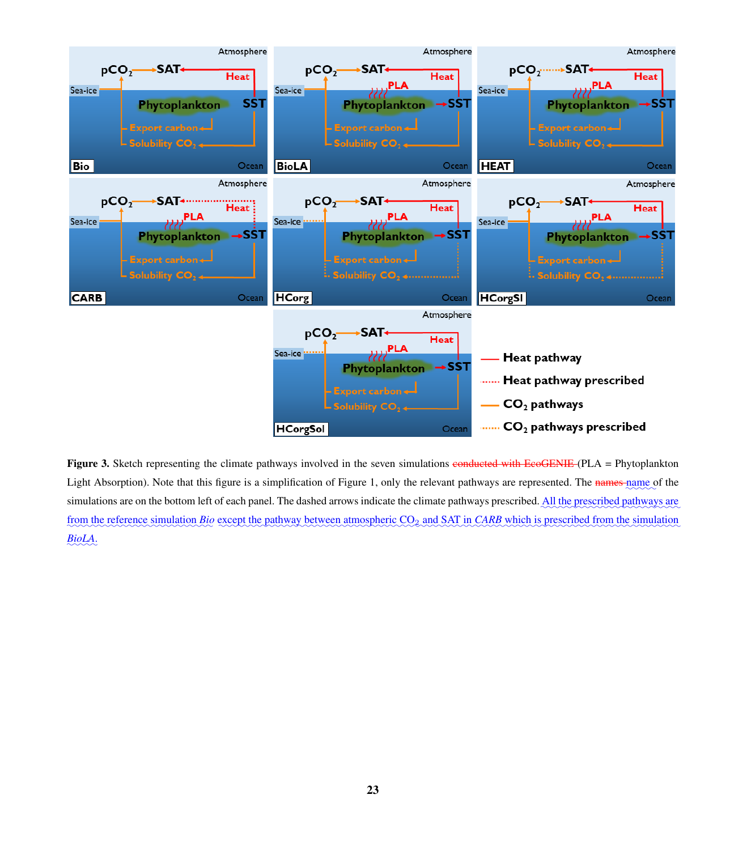<span id="page-22-0"></span>

Figure 3. Sketch representing the climate pathways involved in the seven simulations conducted with EcoGENIE (PLA = Phytoplankton Light Absorption). Note that this figure is a simplification of Figure [1,](#page-20-0) only the relevant pathways are represented. The names name of the simulations are on the bottom left of each panel. The dashed arrows indicate the climate pathways prescribed. All the prescribed pathways are from the reference simulation *Bio* except the pathway between atmospheric CO<sub>2</sub> and SAT in *CARB* which is prescribed from the simulation ✿✿✿✿✿ *BioLA*.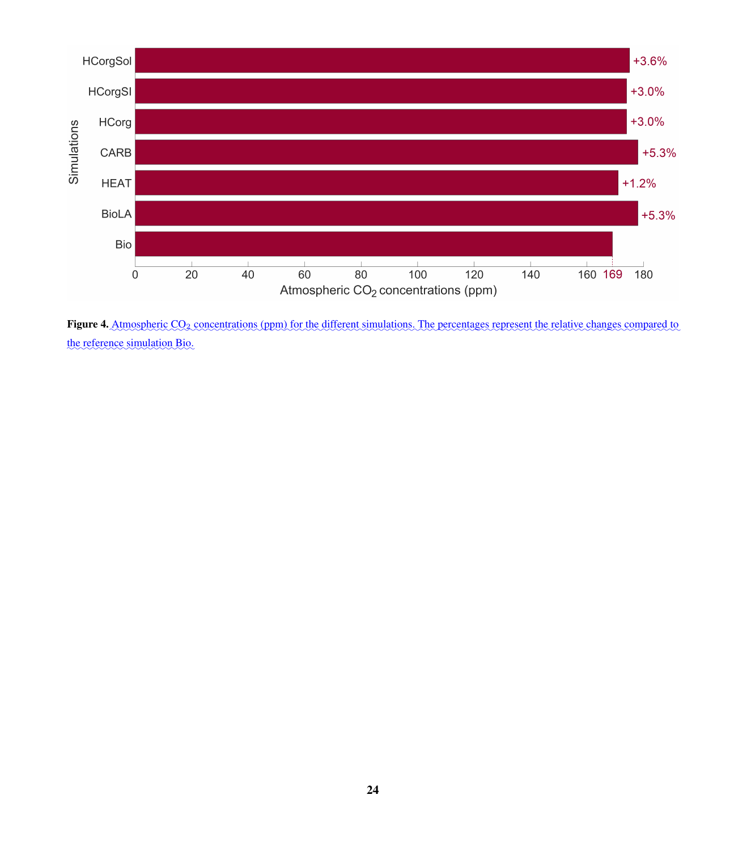<span id="page-23-0"></span>

Figure 4. Atmospheric CO<sub>2</sub> concentrations (ppm) for the different simulations. The percentages represent the relative changes compared to the reference simulation Bio.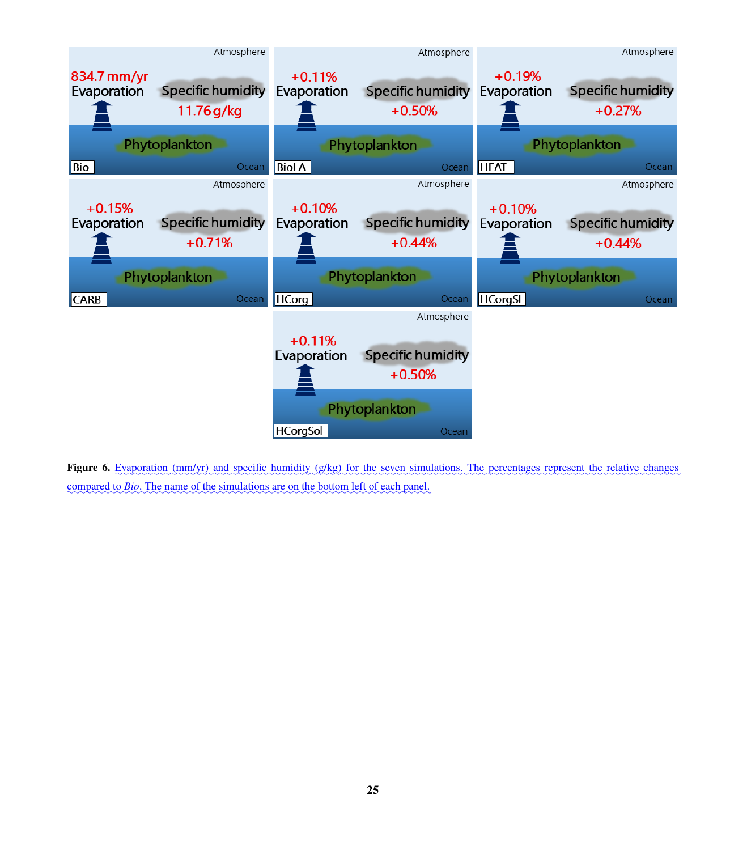<span id="page-24-0"></span>

Figure 6. Evaporation (mm/yr) and specific humidity (g/kg) for the seven simulations. The percentages represent the relative changes compared to *Bio*. The name of the simulations are on the bottom left of each panel.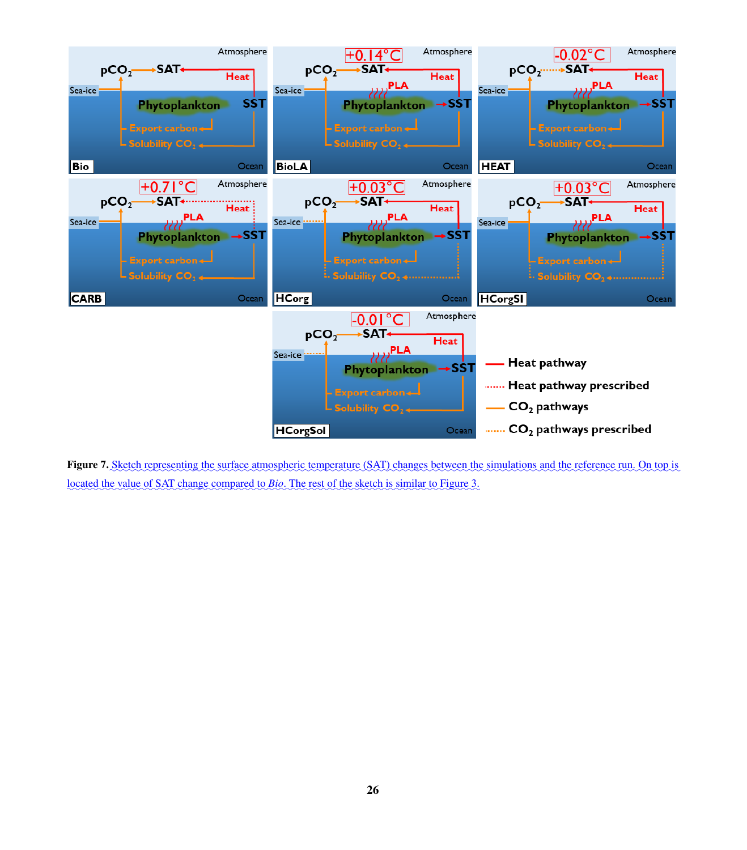<span id="page-25-0"></span>

Figure 7. Sketch representing the surface atmospheric temperature (SAT) changes between the simulations and the reference run. On top is located the value of SAT change compared to *Bio*. The rest of the sketch is similar to Figure [3.](#page-22-0)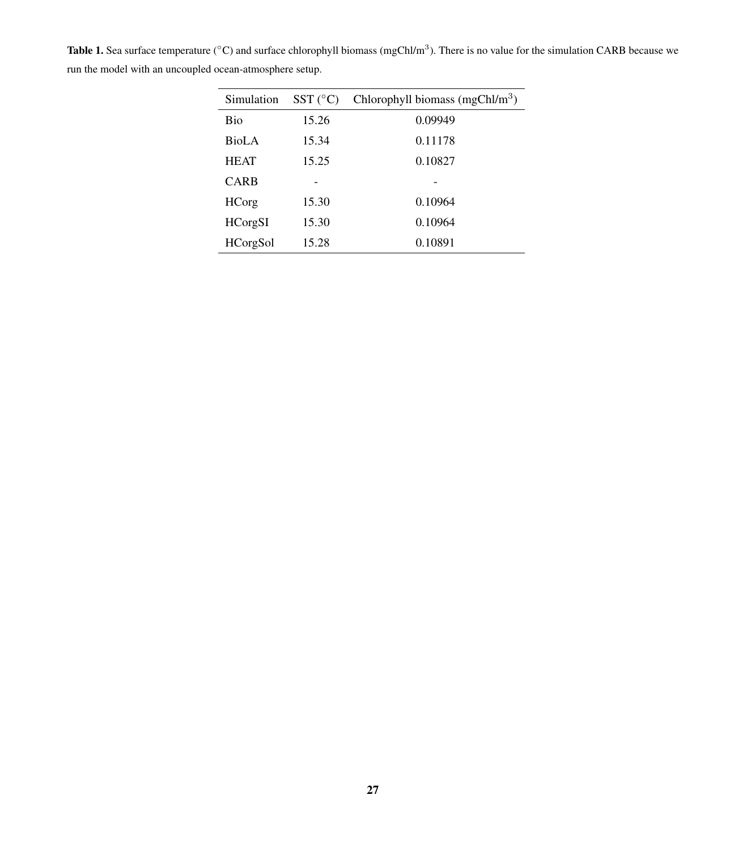| Simulation      | $SST$ ( $^{\circ}$ C) | Chlorophyll biomass (mgChl/ $m3$ ) |
|-----------------|-----------------------|------------------------------------|
| Bio             | 15.26                 | 0.09949                            |
| BioLA           | 15.34                 | 0.11178                            |
| <b>HEAT</b>     | 15.25                 | 0.10827                            |
| CARB            |                       |                                    |
| <b>HCorg</b>    | 15.30                 | 0.10964                            |
| <b>HCorgSI</b>  | 15.30                 | 0.10964                            |
| <b>HCorgSol</b> | 15.28                 | 0.10891                            |

<span id="page-26-0"></span>**Table 1.** Sea surface temperature ( $^{\circ}$ C) and surface chlorophyll biomass (mgChl/m<sup>3</sup>). There is no value for the simulation CARB because we run the model with an uncoupled ocean-atmosphere setup.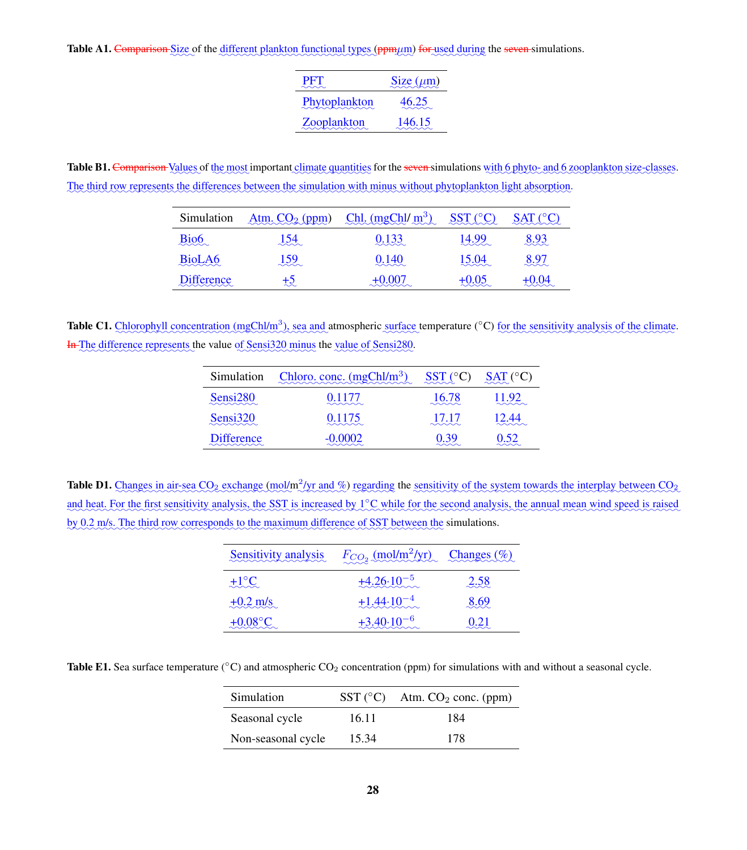<span id="page-27-0"></span>Table A1. Comparison Size of the different plankton functional types (ppmµm) for used during the seven simulations.

| <b>PFT</b><br>ನನೆಗಾಗ | $Size(\mu m)$ |
|----------------------|---------------|
| Phytoplankton        | 46.25         |
| Zooplankton          | 146.15        |

<span id="page-27-1"></span>Table B1. Comparison Values of the most important climate quantities for the seven simulations with 6 phyto- and 6 zooplankton size-classes. The third row represents the differences between the simulation with minus without phytoplankton light absorption.

| Simulation                 | Atm. $CO2$ (ppm) | Chl. $(mgChl/m^3)$     | $SST$ ( $°C$ ) | $SAT$ ( $°C$ ) |
|----------------------------|------------------|------------------------|----------------|----------------|
| Bio <sub>6</sub>           | 154              | 0.133                  | 14.99          | 8.93           |
| $\sim$ $\sim$              | $\sim$           | <u>saaa</u>            | $\sim\sim\sim$ | $\ddot\sim$    |
| BioLA6                     | 159              | 0.140                  | 15.04          | 8.97           |
| $\sim\sim\sim\sim$         | $\sim$           | $\sim\sim\sim$         | $\sim$ $\sim$  | $\sim$         |
| <b>Difference</b>          | +5               | $\sim\sim\sim\sim\sim$ | $+0.05$        | +0.04          |
| $\sim\sim\sim\sim\sim\sim$ | ∼                |                        | $\sim$         | www            |

<span id="page-27-2"></span>Table C1. Chlorophyll concentration (mgChl/m<sup>3</sup>), sea and atmospheric surface temperature (°C) for the sensitivity analysis of the climate. In The difference represents the value of Sensi320 minus the value of Sensi280.

| Simulation                                      | Chloro.conc. $(mgChl/m3)$    | $SST(^{\circ}C)$                     | SAT (°C)      |
|-------------------------------------------------|------------------------------|--------------------------------------|---------------|
| Sensi280<br>$\sim\sim\sim\sim\sim$              | 0.1177<br>$\sim\sim\sim\sim$ | 16.78<br>$\sim\sim\sim$              | 11.92<br>ಮಾನಸ |
| Sensi320<br>$\sim$ $\sim$ $\sim$ $\sim$ $\sim$  | 0.1175                       | 17.17<br>$\sim$ $\sim$ $\sim$ $\sim$ | 12.44         |
| <b>Difference</b><br>$\sim\sim\sim\sim\sim\sim$ |                              |                                      | 0.52          |

<span id="page-27-3"></span>**Table D1.** Changes in air-sea  $CO_2$  exchange (mol/m<sup>2</sup>/yr and %) regarding the sensitivity of the system towards the interplay between  $CO_2$ and heat. For the first sensitivity analysis, the SST is increased by 1°C while for the second analysis, the annual mean wind speed is raised by 0.2 m/s. The third row corresponds to the maximum difference of SST between the simulations.

| Sensitivity analysis | $F_{CO_2}$ (mol/m <sup>2</sup> /yr) Changes (%) |      |
|----------------------|-------------------------------------------------|------|
| $+1^\circ C$         | $+4.26 \cdot 10^{-5}$                           | 2.58 |
| $+0.2$ m/s           | $+1.44 \cdot 10^{-4}$                           | 8.69 |
| $+0.08\degree C$     | $+3.40 \cdot 10^{-6}$                           | 0.21 |

<span id="page-27-4"></span>**Table E1.** Sea surface temperature  $(^{\circ}C)$  and atmospheric CO<sub>2</sub> concentration (ppm) for simulations with and without a seasonal cycle.

| Simulation         | $SST$ ( $^{\circ}$ C) | Atm. $CO2$ conc. (ppm) |
|--------------------|-----------------------|------------------------|
| Seasonal cycle     | 16.11                 | 184                    |
| Non-seasonal cycle | 15.34                 | 178                    |